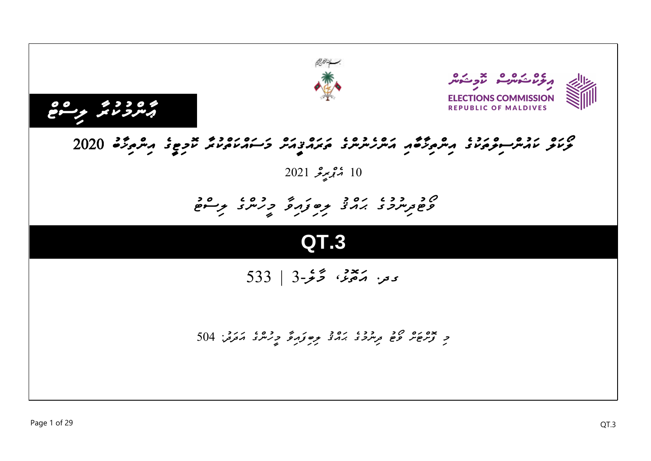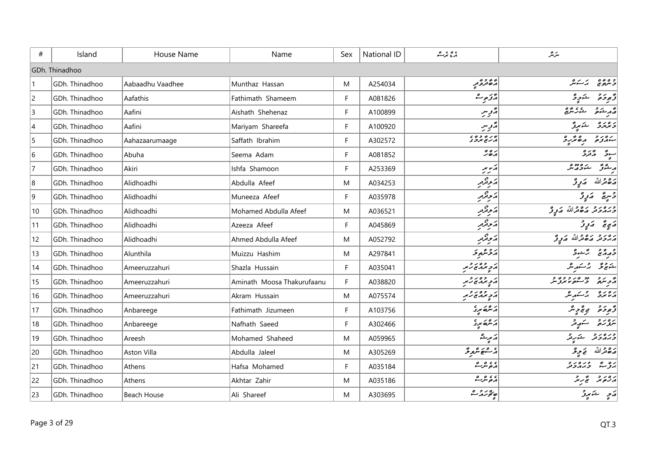| #              | Island         | House Name         | Name                       | Sex       | National ID | ، ه ، بر <u>م</u>            | ىئرىتر                                                               |
|----------------|----------------|--------------------|----------------------------|-----------|-------------|------------------------------|----------------------------------------------------------------------|
|                | GDh. Thinadhoo |                    |                            |           |             |                              |                                                                      |
| 1              | GDh. Thinadhoo | Aabaadhu Vaadhee   | Munthaz Hassan             | M         | A254034     | ء ۽ دي.<br>مُرگورگور         | برسەچر<br>ا د مروم<br>ار سروم                                        |
| $\overline{2}$ | GDh. Thinadhoo | Aafathis           | Fathimath Shameem          | F         | A081826     | ۇ ئۇ ھ <sub>ۇ</sub> ب        | وحجمج وحمح<br>ستكور                                                  |
| 3              | GDh. Thinadhoo | Aafini             | Aishath Shehenaz           | F         | A100899     | مزوجر                        | ري <i>۾ پي</i><br>مشور مگريم<br>ۇ مەشكەتى<br>مەرىشكەت <sub>ى</sub>   |
| 4              | GDh. Thinadhoo | Aafini             | Mariyam Shareefa           | F         | A100920     | مزوسر                        | دەرە شىرۇ                                                            |
| 5              | GDh. Thinadhoo | Aahazaarumaage     | Saffath Ibrahim            | F         | A302572     | ه ر به و د »<br>د ر بع برو د | پره ر د<br>وە ئۆرۈ                                                   |
| 6              | GDh. Thinadhoo | Abuha              | Seema Adam                 | F         | A081852     | رەپ                          | سوځي مرکزی<br>  په مرکزی                                             |
| $\overline{7}$ | GDh. Thinadhoo | Akiri              | Ishfa Shamoon              | F         | A253369     | وسمامير                      | ىرىشۇ ئە<br>شەھ جو ھ                                                 |
| 8              | GDh. Thinadhoo | Alidhoadhi         | Abdulla Afeef              | ${\sf M}$ | A034253     | بروثر                        | رە تراللە كەر <i>بى</i> ئ                                            |
| 9              | GDh. Thinadhoo | Alidhoadhi         | Muneeza Afeef              | F         | A035978     | بروثرمر                      | دسم مَرِرْ                                                           |
| $ 10\rangle$   | GDh. Thinadhoo | Alidhoadhi         | Mohamed Abdulla Afeef      | M         | A036521     | يزودنو                       | دجره دوم ره مرالله رور و<br>دجره دوم ره مرالله رور و<br>ري محمد سرور |
| 11             | GDh. Thinadhoo | Alidhoadhi         | Azeeza Afeef               | F         | A045869     | بروتردر                      |                                                                      |
| 12             | GDh. Thinadhoo | Alidhoadhi         | Ahmed Abdulla Afeef        | M         | A052792     | بروثرمر                      | برەرد مەھمىراللە مەرد                                                |
| $ 13\rangle$   | GDh. Thinadhoo | Alunthila          | Muizzu Hashim              | ${\sf M}$ | A297841     | ارتقهموتر                    | و وه د شوو                                                           |
| 14             | GDh. Thinadhoo | Ameeruzzahuri      | Shazla Hussain             | F         | A035041     | پر په ده پر ژبېر             | شىم ئەستىر ش                                                         |
| 15             | GDh. Thinadhoo | Ameeruzzahuri      | Aminath Moosa Thakurufaanu | F         | A038820     | ېر ده بره بر<br>مړينه بر     | ه در در در درور<br>مرد شهر د شهر مرز س                               |
| 16             | GDh. Thinadhoo | Ameeruzzahuri      | Akram Hussain              | M         | A075574     | پر پرچ پر س <sub>ر</sub>     | رەرە جەمدىر                                                          |
| 17             | GDh. Thinadhoo | Anbareege          | Fathimath Jizumeen         | F         | A103756     | ر<br>امر ملزم تعریب          | أرجوحكم ويحويثر                                                      |
| 18             | GDh. Thinadhoo | Anbareege          | Nafhath Saeed              | F         | A302466     | ر شرکهٔ سر <sup>ی</sup>      | ره ر د در د<br>سرزمو سوړند                                           |
| 19             | GDh. Thinadhoo | Areesh             | Mohamed Shaheed            | M         | A059965     | برسيده                       | ورەرو ئەرو                                                           |
| 20             | GDh. Thinadhoo | Aston Villa        | Abdulla Jaleel             | M         | A305269     | ، مەيدە ئەرى <i>گە</i>       | رەت <sub>م</sub> اللە ق <sub>ە</sub> موگە                            |
| 21             | GDh. Thinadhoo | Athens             | Hafsa Mohamed              | F         | A035184     | ې په ه ره<br>مرغو سرب        | و ره ر و<br>تر پر ژنر<br>  پرویے                                     |
| 22             | GDh. Thinadhoo | Athens             | Akhtar Zahir               | M         | A035186     | <sup>ى يە</sup> ھەر ھ        | برەر دېرىگە                                                          |
| 23             | GDh. Thinadhoo | <b>Beach House</b> | Ali Shareef                | M         | A303695     | اھەردىق                      | أەكىم ئىسكىنى ئى                                                     |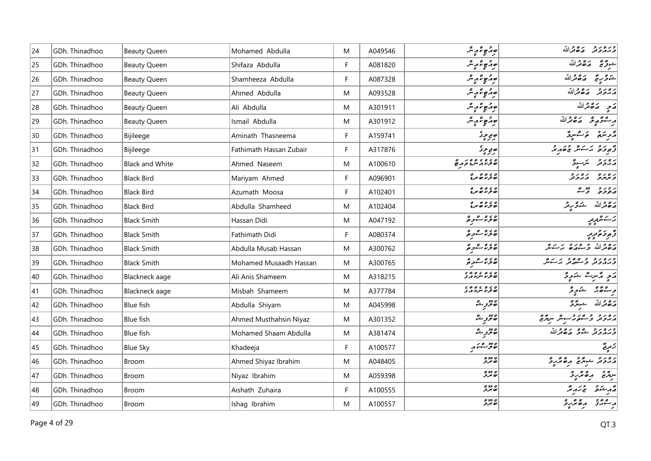| 24 | GDh. Thinadhoo | <b>Beauty Queen</b>    | Mohamed Abdulla         | M           | A049546 | ەرگە ئۇيە                       | وره رو روو الله                     |
|----|----------------|------------------------|-------------------------|-------------|---------|---------------------------------|-------------------------------------|
| 25 | GDh. Thinadhoo | <b>Beauty Queen</b>    | Shifaza Abdulla         | F           | A081820 | ەر ئەھمەر                       | أشوقريخ أركاه فكرالله               |
| 26 | GDh. Thinadhoo | <b>Beauty Queen</b>    | Shamheeza Abdulla       | E           | A087328 | ەرقۇرۇپر                        | شودية رةقرالله                      |
| 27 | GDh. Thinadhoo | <b>Beauty Queen</b>    | Ahmed Abdulla           | M           | A093528 |                                 | برورد بردولله                       |
| 28 | GDh. Thinadhoo | <b>Beauty Queen</b>    | Ali Abdulla             | M           | A301911 |                                 | أصبح سكافة الله                     |
| 29 | GDh. Thinadhoo | <b>Beauty Queen</b>    | Ismail Abdulla          | M           | A301912 |                                 | مرحوح رەقراللە                      |
| 30 | GDh. Thinadhoo | Bijileege              | Aminath Thasneema       | F           | A159741 | ھ قبے بورگا<br>مرکز کا          | أأرمن أوسمية                        |
| 31 | GDh. Thinadhoo | Bijileege              | Fathimath Hassan Zubair | $\mathsf F$ | A317876 | ھ يو پور<br>مربر پ <sup>ی</sup> | توجدة برسوم وحديد                   |
| 32 | GDh. Thinadhoo | <b>Black and White</b> | Ahmed Naseem            | M           | A100610 | 0,000000                        | دەرو ترىپو                          |
| 33 | GDh. Thinadhoo | <b>Black Bird</b>      | Mariyam Ahmed           | F           | A096901 | ه ، ه ه و ه<br>حوړ څمېر د       | ג סגם גם גב<br>כ <i>ינתכ הג</i> כנק |
| 34 | GDh. Thinadhoo | <b>Black Bird</b>      | Azumath Moosa           | F           | A102401 | ه ، ه ه »<br>حوړ ځمېږ           | ر در در در                          |
| 35 | GDh. Thinadhoo | <b>Black Bird</b>      | Abdulla Shamheed        | M           | A102404 | ه ، ه ه و ه<br>حوړ ځمېږ         | أرەقمەللە شەئرىتر                   |
| 36 | GDh. Thinadhoo | <b>Black Smith</b>     | Hassan Didi             | M           | A047192 | ە بى ۋە ھ                       | ئەسەئىرىر<br>ئ                      |
| 37 | GDh. Thinadhoo | <b>Black Smith</b>     | Fathimath Didi          | $\mathsf F$ | A080374 | ە ئەر ئەرە                      | تر و د د ورور                       |
| 38 | GDh. Thinadhoo | <b>Black Smith</b>     | Abdulla Musab Hassan    | M           | A300762 | ە ئە ۋە ھ                       | مەھەراللە ئەبەدە برىك               |
| 39 | GDh. Thinadhoo | <b>Black Smith</b>     | Mohamed Musaadh Hassan  | M           | A300765 | ە يە ەھەم                       | ورەر دەرە دەر رىك                   |
| 40 | GDh. Thinadhoo | Blackneck aage         | Ali Anis Shameem        | M           | A318215 | ه ده ه ده و د<br>حوم سرد در     | ړې ژمرے ځېږو                        |
| 41 | GDh. Thinadhoo | Blackneck aage         | Misbah Shameem          | M           | A377784 | ه ده ه ده و د<br>حوم سربر در    |                                     |
| 42 | GDh. Thinadhoo | Blue fish              | Abdulla Shiyam          | M           | A045998 | ە ج <sub>ۇرىش</sub>             | بردورالله خورد                      |
| 43 | GDh. Thinadhoo | <b>Blue fish</b>       | Ahmed Musthahsin Niyaz  | M           | A301352 | ەددېر ھ                         | גם גב ב פגב תייל תואים              |
| 44 | GDh. Thinadhoo | <b>Blue fish</b>       | Mohamed Shaam Abdulla   | M           | A381474 | ە دورىئە                        | وره رو ده ده در دراله               |
| 45 | GDh. Thinadhoo | <b>Blue Sky</b>        | Khadeeja                | F           | A100577 | ەددەر                           | نرَمْرِيَّ                          |
| 46 | GDh. Thinadhoo | Broom                  | Ahmed Shiyaz Ibrahim    | M           | A048405 | ه دوه<br>ن <i>ه ب</i> رگ        | גם גב הייתוד תסתיקים                |
| 47 | GDh. Thinadhoo | <b>Broom</b>           | Niyaz Ibrahim           | M           | A059398 | ه دوه<br>ن <i>ه پو</i> ر        | ە ھەترىرى<br>م<br>اسوژنج<br>ڪ       |
| 48 | GDh. Thinadhoo | <b>Broom</b>           | Aishath Zuhaira         | F           | A100555 | ه دوه<br>ن <i>ه ب</i> رو        | ە ئەستىق يېزىدىگە                   |
| 49 | GDh. Thinadhoo | <b>Broom</b>           | Ishag Ibrahim           | M           | A100557 | ه دوه<br>ن <i>ه ب</i> رگر       | مسترج مقتررة                        |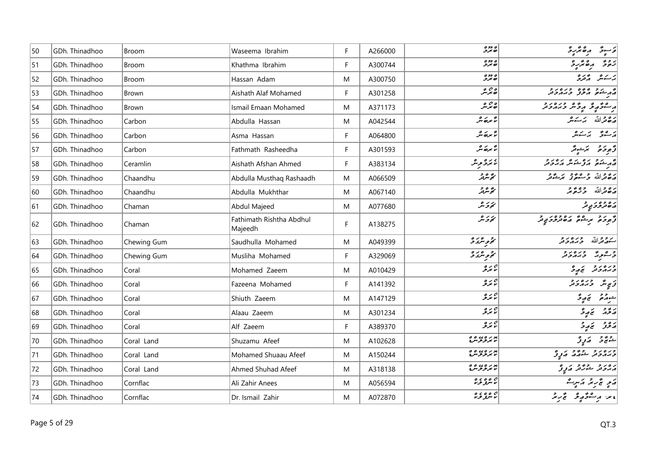| 50 | GDh. Thinadhoo | Broom        | Waseema Ibrahim                     | F         | A266000 | ه دده<br>ص پر ژ                     | ەرھ ئ <sup>ۆ</sup> ر ۋ<br>ىز سەرىخ<br>ئىسىم                    |
|----|----------------|--------------|-------------------------------------|-----------|---------|-------------------------------------|----------------------------------------------------------------|
| 51 | GDh. Thinadhoo | <b>Broom</b> | Khathma Ibrahim                     | F         | A300744 | ه دوه<br>ن <i>ه پو</i> ر            | بر و و<br>نره و<br>وە ئۆرۈ                                     |
| 52 | GDh. Thinadhoo | <b>Broom</b> | Hassan Adam                         | M         | A300750 | ه دوه<br>ن <i>ه پو</i> ر            | برسەيىتە<br>پور ہ<br>پر تر تر                                  |
| 53 | GDh. Thinadhoo | Brown        | Aishath Alaf Mohamed                | F         | A301258 | ه <sup>0</sup> مر<br>ح <i>و</i> سر  | د دره دوه دره در د                                             |
| 54 | GDh. Thinadhoo | <b>Brown</b> | Ismail Emaan Mohamed                | M         | A371173 | ه <sup>0</sup> مر<br>ح <i>و</i> سر  | ر موځږي <sub>پرځ</sub> ي وره د و                               |
| 55 | GDh. Thinadhoo | Carbon       | Abdulla Hassan                      | M         | A042544 | ئە بىر خەشر                         | مَدْهُ مِّرَاللَّهُ بَرَسَوْسُ                                 |
| 56 | GDh. Thinadhoo | Carbon       | Asma Hassan                         | F         | A064800 | ر<br>برگەنگە                        | ىر قائىس ئەسكەنلەر                                             |
| 57 | GDh. Thinadhoo | Carbon       | Fathmath Rasheedha                  | F         | A301593 | ئ <sup>ى</sup> برەَ بىر             | تزود متحفظ                                                     |
| 58 | GDh. Thinadhoo | Ceramlin     | Aishath Afshan Ahmed                | F         | A383134 | تمركه عريثر                         | ه در دره دره رور د<br>مگرشوی مرزشتر مهرونر                     |
| 59 | GDh. Thinadhoo | Chaandhu     | Abdulla Musthaq Rashaadh            | M         | A066509 | پڑ ہ د<br>کارمنز تر                 | رە ئراللە ئەرمۇق برېشىر                                        |
| 60 | GDh. Thinadhoo | Chaandhu     | Abdulla Mukhthar                    | M         | A067140 | پر ہ<br>کارمربر                     | رە داللە جەم د                                                 |
| 61 | GDh. Thinadhoo | Chaman       | Abdul Majeed                        | ${\sf M}$ | A077680 | ىئە ئەشر                            | ر 295مر 295 محمد<br>مرگ <i>295 في</i> تر                       |
| 62 | GDh. Thinadhoo | Chaman       | Fathimath Rishtha Abdhul<br>Majeedh | F         | A138275 | ىجە ئەشر                            | و د د پرېشمې ماه ده د د د                                      |
| 63 | GDh. Thinadhoo | Chewing Gum  | Saudhulla Mohamed                   | M         | A049399 | ىئموشۇۋ                             | ور ه ر د<br><i>د ب</i> رگرفر<br>يحصر تعرالله                   |
| 64 | GDh. Thinadhoo | Chewing Gum  | Musliha Mohamed                     | F         | A329069 | ىز <sub>ە</sub> شرىرە               | خ <sup>م</sup> شعر برً <sup>2</sup><br>و رە ر د<br>تر پر تر تر |
| 65 | GDh. Thinadhoo | Coral        | Mohamed Zaeem                       | M         | A010429 | ەر ە<br>ئىلىمىرىتى                  |                                                                |
| 66 | GDh. Thinadhoo | Coral        | Fazeena Mohamed                     | F         | A141392 | ەر ە<br>ئىمىرىپى                    | توسي ورەرو                                                     |
| 67 | GDh. Thinadhoo | Coral        | Shiuth Zaeem                        | ${\sf M}$ | A147129 | ەر ە<br>ئىلىمىرىتى                  | أشورهم تم مركز                                                 |
| 68 | GDh. Thinadhoo | Coral        | Alaau Zaeem                         | ${\sf M}$ | A301234 | لأبرو                               | ر و د<br>مرگ<br>ىم پە                                          |
| 69 | GDh. Thinadhoo | Coral        | Alf Zaeem                           | F         | A389370 | ەر ە<br>ئىلمىرىتى                   | أرود بمهدد                                                     |
| 70 | GDh. Thinadhoo | Coral Land   | Shuzamu Afeef                       | ${\sf M}$ | A102628 | پر ره دره ه<br><i>تا پر پو</i> توس  | $\frac{2}{3}$ $\frac{2}{3}$ $\frac{2}{3}$                      |
| 71 | GDh. Thinadhoo | Coral Land   | Mohamed Shuaau Afeef                | ${\sf M}$ | A150244 | بر ر ه در ه ه<br><i>تا بر و و</i> س |                                                                |
| 72 | GDh. Thinadhoo | Coral Land   | Ahmed Shuhad Afeef                  | M         | A318138 | بر ر ه د ه ه ه<br>ما بر تر تر س     | رور و وود <sub>م</sub> ړی کې                                   |
| 73 | GDh. Thinadhoo | Cornflac     | Ali Zahir Anees                     | M         | A056594 | ا ما مورو ده<br>ما مورو در          | أەي ھې پر مەسرى                                                |
| 74 | GDh. Thinadhoo | Cornflac     | Dr. Ismail Zahir                    | ${\sf M}$ | A072870 | ا ما موجوعه<br>ما مسروعه            | ، با سائد و سی براند                                           |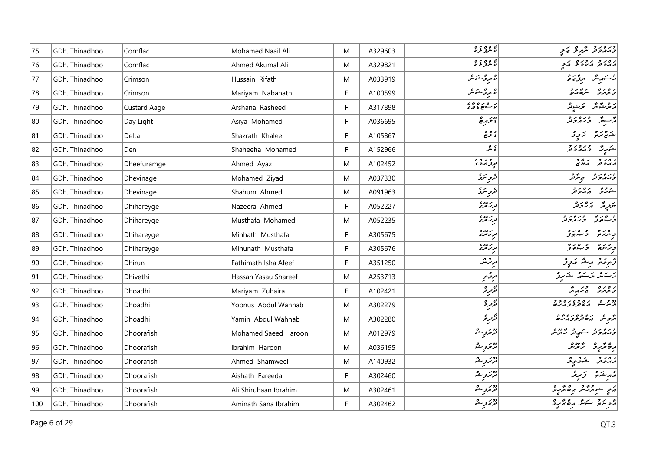| 75  | GDh. Thinadhoo | Cornflac     | Mohamed Naail Ali     | M  | A329603 | ە ە ە ء ە<br>ئاسرىرىمى                   | ورەرو شرو مو                                                                                                                  |
|-----|----------------|--------------|-----------------------|----|---------|------------------------------------------|-------------------------------------------------------------------------------------------------------------------------------|
| 76  | GDh. Thinadhoo | Cornflac     | Ahmed Akumal Ali      | M  | A329821 | ە ە ە ء ە<br>ئاسرىرىمى                   |                                                                                                                               |
| 77  | GDh. Thinadhoo | Crimson      | Hussain Rifath        | M  | A033919 | <mark>ئ<sub>ە بىر</sub>ۇ</mark> يەنە بىر | جر شهر شهر مرور م                                                                                                             |
| 78  | GDh. Thinadhoo | Crimson      | Mariyam Nabahath      | F. | A100599 | ە بر <sub>ۇشكە</sub> ش                   | ره ره برورد                                                                                                                   |
| 79  | GDh. Thinadhoo | Custard Aage | Arshana Rasheed       | F  | A317898 | 59202                                    | ىر قەشقىدىكى ئىكەن قىرىدىكى<br>مەنبۇسىگىنىڭ ئىكەن قىرىدىكى                                                                    |
| 80  | GDh. Thinadhoo | Day Light    | Asiya Mohamed         | F  | A036695 | بمخرم                                    | أثر سورش وبره و و                                                                                                             |
| 81  | GDh. Thinadhoo | Delta        | Shazrath Khaleel      | F  | A105867 | ب ہ مح<br>٤ حري                          | شەيرە زېرو                                                                                                                    |
| 82  | GDh. Thinadhoo | Den          | Shaheeha Mohamed      | F  | A152966 | ې مر<br>بار                              | شریر ورورو                                                                                                                    |
| 83  | GDh. Thinadhoo | Dheefuramge  | Ahmed Ayaz            | M  | A102452 | و و ره ء<br><sub>مو</sub> و ترو د        | ג פיני גורב                                                                                                                   |
| 84  | GDh. Thinadhoo | Dhevinage    | Mohamed Ziyad         | M  | A037330 | قرحر سريح                                | وره رو په دو.<br>د پر پروتر په پرتر                                                                                           |
| 85  | GDh. Thinadhoo | Dhevinage    | Shahum Ahmed          | M  | A091963 | قرحر سريح                                | شروه رورو                                                                                                                     |
| 86  | GDh. Thinadhoo | Dhihareyge   | Nazeera Ahmed         | F  | A052227 | و ر <sup>ین ج</sup><br>در تر پر د        | سَمْدِيمٌ 1957مر                                                                                                              |
| 87  | GDh. Thinadhoo | Dhihareyge   | Musthafa Mohamed      | M  | A052235 | و ر <sup>ی</sup> نه ع<br>مرکس موری       | و ه ر په وره رو<br>ترجيعو تر تر تر تر                                                                                         |
| 88  | GDh. Thinadhoo | Dhihareyge   | Minhath Musthafa      | F  | A305675 | <br>  تور سری                            | ورو وەرە                                                                                                                      |
| 89  | GDh. Thinadhoo | Dhihareyge   | Mihunath Musthafa     | F  | A305676 | ر ده د<br>تور بو د                       | وركبرو ومبرو                                                                                                                  |
| 90  | GDh. Thinadhoo | Dhirun       | Fathimath Isha Afeef  | F  | A351250 | مرىژىئر                                  | وتوجع ويشمور                                                                                                                  |
| 91  | GDh. Thinadhoo | Dhivethi     | Hassan Yasau Shareef  | M  | A253713 | تروحو                                    | برسەش مرسىم ھەمرو                                                                                                             |
| 92  | GDh. Thinadhoo | Dhoadhil     | Mariyam Zuhaira       | F. | A102421 | ترمریحه                                  | رەرە دىرىد                                                                                                                    |
| 93  | GDh. Thinadhoo | Dhoadhil     | Yoonus Abdul Wahhab   | M  | A302279 | قرمرى                                    | מכם גםכסגם זכ<br>תיתיים הסט <i>ק בפ</i> תגים                                                                                  |
| 94  | GDh. Thinadhoo | Dhoadhil     | Yamin Abdul Wahhab    | Μ  | A302280 | شرمر عم                                  | ת כם נסיפסנספי                                                                                                                |
| 95  | GDh. Thinadhoo | Dhoorafish   | Mohamed Saeed Haroon  | M  | A012979 | <br>  قرىمزىر مىشە                       | ورەر دېر دەردە                                                                                                                |
| 96  | GDh. Thinadhoo | Dhoorafish   | Ibrahim Haroon        | M  | A036195 | ترىخروىشە                                |                                                                                                                               |
| 97  | GDh. Thinadhoo | Dhoorafish   | Ahmed Shamweel        | M  | A140932 | قرىروپە                                  | رەرد دەرو                                                                                                                     |
| 98  | GDh. Thinadhoo | Dhoorafish   | Aishath Fareeda       | F  | A302460 | قرىروپە                                  | أمرشكم وتبيتر                                                                                                                 |
| 99  | GDh. Thinadhoo | Dhoorafish   | Ali Shiruhaan Ibrahim | M  | A302461 | قرىمزىرىشە                               | $\frac{1}{2}$ $\frac{1}{2}$ $\frac{1}{2}$ $\frac{1}{2}$ $\frac{1}{2}$ $\frac{1}{2}$ $\frac{1}{2}$ $\frac{1}{2}$ $\frac{1}{2}$ |
| 100 | GDh. Thinadhoo | Dhoorafish   | Aminath Sana Ibrahim  | F  | A302462 | قرئمز <sub>قری</sub> م شد<br>            | ړ و سره د سر مه ور د                                                                                                          |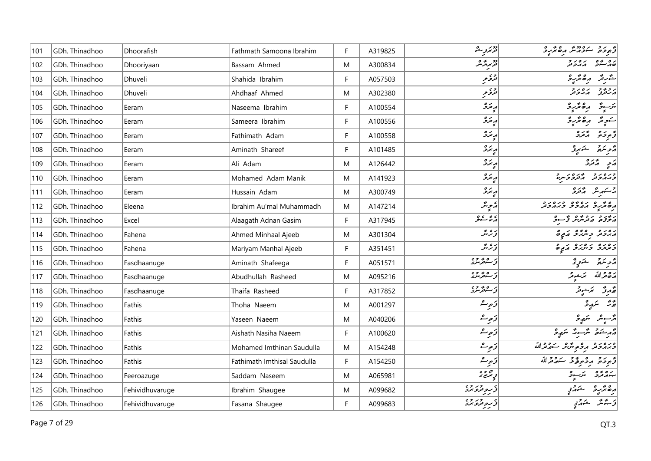| 101 | GDh. Thinadhoo | Dhoorafish      | Fathmath Samoona Ibrahim    | F. | A319825 | قرئمز پر مشر                     | و دو رودوند مصر دو                                                                                 |
|-----|----------------|-----------------|-----------------------------|----|---------|----------------------------------|----------------------------------------------------------------------------------------------------|
| 102 | GDh. Thinadhoo | Dhooriyaan      | Bassam Ahmed                | M  | A300834 | قرىبروگىر                        | ەھ بەھ بەرد                                                                                        |
| 103 | GDh. Thinadhoo | Dhuveli         | Shahida Ibrahim             | F. | A057503 | اقرء<br>اقرء م                   | برە ئۆرۈ<br>ىش <sup>ى</sup> ر بىر                                                                  |
| 104 | GDh. Thinadhoo | Dhuveli         | Ahdhaaf Ahmed               | M  | A302380 | فروحر                            | بر 2 بر 15<br>مربر <del>5</del> قر<br>ەر بەر                                                       |
| 105 | GDh. Thinadhoo | Eeram           | Naseema Ibrahim             | F  | A100554 | ەپە ئىر                          | برە ئۆر ۋ<br>ىئەسەۋ                                                                                |
| 106 | GDh. Thinadhoo | Eeram           | Sameera Ibrahim             | F  | A100556 | ويبره                            | برە ئۆر ۋ<br>سەچەتتىر                                                                              |
| 107 | GDh. Thinadhoo | Eeram           | Fathimath Adam              | F  | A100558 | ويبره                            | و مر د<br>تر مور م<br>پور ہ<br>مرکزو                                                               |
| 108 | GDh. Thinadhoo | Eeram           | Aminath Shareef             | F  | A101485 | ويترقر                           |                                                                                                    |
| 109 | GDh. Thinadhoo | Eeram           | Ali Adam                    | M  | A126442 | ويترقه                           | أەسمجە مەتىرى                                                                                      |
| 110 | GDh. Thinadhoo | Eeram           | Mohamed Adam Manik          | M  | A141923 | ويترقه                           | כנסגב שנסגב                                                                                        |
| 111 | GDh. Thinadhoo | Eeram           | Hussain Adam                | M  | A300749 | ەپە ئىر                          | جر شهر شهر محمد حر                                                                                 |
| 112 | GDh. Thinadhoo | Eleena          | Ibrahim Au'mal Muhammadh    | M  | A147214 | لأمويتر                          |                                                                                                    |
| 113 | GDh. Thinadhoo | Excel           | Alaagath Adnan Gasim        | F  | A317945 | ې ۵ په عو                        | ر در در دوره و سره                                                                                 |
| 114 | GDh. Thinadhoo | Fahena          | Ahmed Minhaal Ajeeb         | M  | A301304 | ۇ ئەنگە                          | رەر د پرگرى كې ھ                                                                                   |
| 115 | GDh. Thinadhoo | Fahena          | Mariyam Manhal Ajeeb        | F  | A351451 | ىر ، ئە<br>تورىتر                | ر ه ر ه ر ه ر و د ر د                                                                              |
| 116 | GDh. Thinadhoo | Fasdhaanuge     | Aminath Shafeega            | F. | A051571 | ر ۱۵۰۵ و <sup>ی</sup>            | أأترجم تكموتج                                                                                      |
| 117 | GDh. Thinadhoo | Fasdhaanuge     | Abudhullah Rasheed          | M  | A095216 | ر ۵ بر د ۷<br>توسه تر مربر       | برە قراللە ئىم شوتر                                                                                |
| 118 | GDh. Thinadhoo | Fasdhaanuge     | Thaifa Rasheed              | F. | A317852 | ر ۱۵۴۵ و <sup>م</sup>            | و در کردار<br>در کردار                                                                             |
| 119 | GDh. Thinadhoo | Fathis          | Thoha Naeem                 | M  | A001297 | ارَمو مشر                        | $\begin{array}{cc} 2\overline{16} & 2\overline{16} \\ 2\overline{16} & 2\overline{16} \end{array}$ |
| 120 | GDh. Thinadhoo | Fathis          | Yaseen Naeem                | M  | A040206 | ئەمو <sup>م</sup>                | ەئەسىر سەرد<br>م                                                                                   |
| 121 | GDh. Thinadhoo | Fathis          | Aishath Nasiha Naeem        | F  | A100620 | ئەموت                            | وأرشكني لترجيب لتروفه                                                                              |
| 122 | GDh. Thinadhoo | Fathis          | Mohamed Imthinan Saudulla   | M  | A154248 | ا تو <sub>حو</sub> ث             | ورەرو مەمھەترىر سەمھراللە                                                                          |
| 123 | GDh. Thinadhoo | Fathis          | Fathimath Imthisal Saudulla | F. | A154250 | رَمو مشر                         | وتجرحه وحفوظه تكميها                                                                               |
| 124 | GDh. Thinadhoo | Feeroazuge      | Saddam Naseem               | M  | A065981 | ە 2 ج<br>م <sub>و</sub> مىرىمى ئ | بەم بۇر سىرسى                                                                                      |
| 125 | GDh. Thinadhoo | Fehividhuvaruge | Ibrahim Shaugee             | M  | A099682 | <br>  د سره مره سره<br>          | ە ھەترىر <sup>ە</sup><br>ستتورنج                                                                   |
| 126 | GDh. Thinadhoo | Fehividhuvaruge | Fasana Shaugee              | F. | A099683 | نې سره پر د ول<br>گرسو مرغو مرد  | ۇبەئىر خەرىج                                                                                       |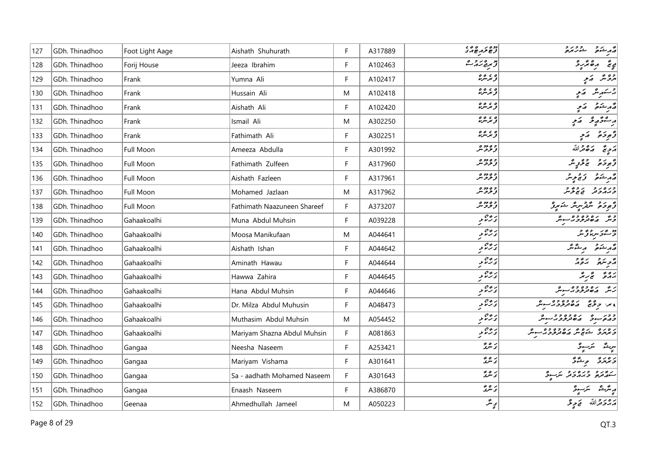| 127 | GDh. Thinadhoo | Foot Light Aage  | Aishath Shuhurath           | F | A317889 | ده و ده و و و<br>  زیغ محرم هوری | شەرىمە ج<br>ا پھر ہے تھے<br>ا                           |
|-----|----------------|------------------|-----------------------------|---|---------|----------------------------------|---------------------------------------------------------|
| 128 | GDh. Thinadhoo | Forij House      | Jeeza Ibrahim               | F | A102463 | الزبرة بروح                      | ىي ئەھەرد<br>ئ                                          |
| 129 | GDh. Thinadhoo | Frank            | Yumna Ali                   | F | A102417 | ه ، ه ه<br>و برس                 | ره و پیش<br>مرد مثر<br>ەكىسى                            |
| 130 | GDh. Thinadhoo | Frank            | Hussain Ali                 | M | A102418 | ه ، ه ه<br>تر برس                | جر س <sub>ک</sub> ر میں<br>م<br>ەتىر                    |
| 131 | GDh. Thinadhoo | Frank            | Aishath Ali                 | F | A102420 | ه پ <sub>ه ۱</sub> ۵ ه           | أقرم شده أقرم                                           |
| 132 | GDh. Thinadhoo | Frank            | Ismail Ali                  | M | A302250 | ه ، ه ه<br>تو برس                | ر شۇرقى كەنچ                                            |
| 133 | GDh. Thinadhoo | Frank            | Fathimath Ali               | F | A302251 | ه ، ه ه<br>تو برس                | وحددة الماسي                                            |
| 134 | GDh. Thinadhoo | <b>Full Moon</b> | Ameeza Abdulla              | F | A301992 | د ه دو ه<br>نو مرد مگر           | مَحِيٌّ مَصْعَرَاللَّهُ                                 |
| 135 | GDh. Thinadhoo | Full Moon        | Fathimath Zulfeen           | F | A317960 | و ه دو ه                         | أزّوجو بي وريد                                          |
| 136 | GDh. Thinadhoo | Full Moon        | Aishath Fazleen             | F | A317961 | و ه دو ه<br>تو تر تر س           | أقهر يشكره والمحافية                                    |
| 137 | GDh. Thinadhoo | Full Moon        | Mohamed Jazlaan             | M | A317962 | د ه دد ه<br>نو پر ش              | وره رو دولو<br><i>دېدو</i> تر يح گرس                    |
| 138 | GDh. Thinadhoo | Full Moon        | Fathimath Naazuneen Shareef | F | A373207 | و ه دو ه                         | دَّەپِرَةْ مُتَذَرِّبِيْنَ حَدَبِيْرٌ                   |
| 139 | GDh. Thinadhoo | Gahaakoalhi      | Muna Abdul Muhsin           | F | A039228 | ئەرمىيىتىسىيەت                   |                                                         |
| 140 | GDh. Thinadhoo | Gahaakoalhi      | Moosa Manikufaan            | M | A044641 | ر وه<br>ئ <sup>5</sup> ر مگر     | دە مەكەن ھەر ئەرگە<br>مەكەن بىر بىر                     |
| 141 | GDh. Thinadhoo | Gahaakoalhi      | Aishath Ishan               | F | A044642 | ر پەج<br>ئەرگە                   |                                                         |
| 142 | GDh. Thinadhoo | Gahaakoalhi      | Aminath Hawau               | F | A044644 | ر وہ<br>ئ <sup>ىر ر</sup> ىكى مە | أأديتهم برود                                            |
| 143 | GDh. Thinadhoo | Gahaakoalhi      | Hawwa Zahira                | F | A044645 | ئەشرىقىسىيە                      | برە ئەرىتە                                              |
| 144 | GDh. Thinadhoo | Gahaakoalhi      | Hana Abdul Muhsin           | F | A044646 | ئەشرىقى بە                       | ر پر دره ده ده به د                                     |
| 145 | GDh. Thinadhoo | Gahaakoalhi      | Dr. Milza Abdul Muhusin     | F | A048473 | الجميعي                          | ، د ووځ اړه ده ده سر                                    |
| 146 | GDh. Thinadhoo | Gahaakoalhi      | Muthasim Abdul Muhsin       | M | A054452 | بر پرج<br>كې شركتو مو            | ر ه و و و و د .<br>پرې تر بر چر ب                       |
| 147 | GDh. Thinadhoo | Gahaakoalhi      | Mariyam Shazna Abdul Muhsin | F | A081863 | ئەشرىقى بىر                      | ر ۲۰۰۵ د ۲۵۰۰ د ۲۵۰۰۰<br>د بربرد شویم ش ماه تر تر د برگ |
| 148 | GDh. Thinadhoo | Gangaa           | Neesha Naseem               | F | A253421 | ر ه پر<br>د سر <sub>نگ</sub>     | سريڪ - سرڪوي                                            |
| 149 | GDh. Thinadhoo | Gangaa           | Mariyam Vishama             | F | A301641 | ر ه پی                           | دەرە بەشۇ                                               |
| 150 | GDh. Thinadhoo | Gangaa           | Sa - aadhath Mohamed Naseem | F | A301643 | ر ه پی                           | رورد دره دو مرسو                                        |
| 151 | GDh. Thinadhoo | Gangaa           | Enaash Naseem               | F | A386870 | ر ه پی                           | ر گرند کرد گر                                           |
| 152 | GDh. Thinadhoo | Geenaa           | Ahmedhullah Jameel          | M | A050223 | ىپە ئىگر                         | بروروالله تح ويحر                                       |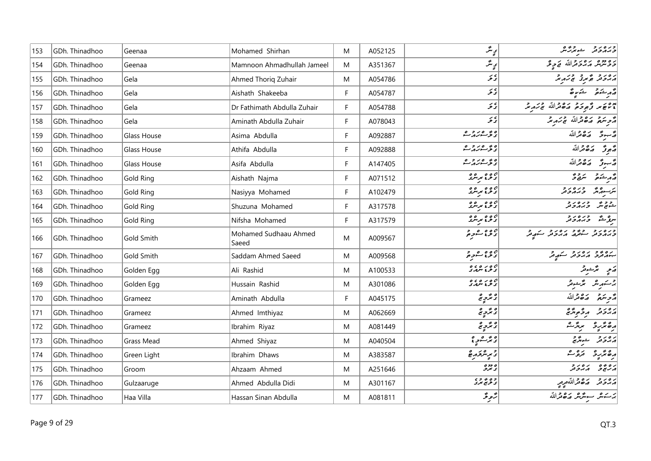| 153 | GDh. Thinadhoo  | Geenaa             | Mohamed Shirhan                | M  | A052125 | لىيىتىر                                        | ورەرو جوړمگر                                               |
|-----|-----------------|--------------------|--------------------------------|----|---------|------------------------------------------------|------------------------------------------------------------|
| 154 | GDh. Thinadhoo  | Geenaa             | Mamnoon Ahmadhullah Jameel     | M  | A351367 | ىپە ئىگر                                       | ره دوه بروردالله مح دو                                     |
| 155 | GDh. Thinadhoo  | Gela               | Ahmed Thoriq Zuhair            | M  | A054786 | ىمى                                            | أمه ود و محمدة المحمد مد                                   |
| 156 | GDh. Thinadhoo  | Gela               | Aishath Shakeeba               | F. | A054787 | ىمى                                            | أقرم شورة                                                  |
| 157 | GDh. Thinadhoo  | Gela               | Dr Fathimath Abdulla Zuhair    | F. | A054788 | ىمى                                            | بده ريد و دره د الله محمد و د                              |
| 158 | GDh. Thinadhoo  | Gela               | Aminath Abdulla Zuhair         | F. | A078043 | ىمىز                                           | أمحر يتمع ورقعه لله تح تروينه                              |
| 159 | GDh. Thinadhoo  | Glass House        | Asima Abdulla                  | F  | A092887 | ە ئۇسە <i>ر جە</i> م                           | أصبحت صفعرالله                                             |
| 160 | GDh. Thinadhoo  | Glass House        | Athifa Abdulla                 | F  | A092888 | <i>و ۋە مەز</i> ر ھ                            | صبوقر الاصقرالله                                           |
| 161 | GDh. Thinadhoo  | <b>Glass House</b> | Asifa Abdulla                  | F  | A147405 | <i>ە ۋەسەر جە</i>                              | وسوتر وكافترالله                                           |
| 162 | GDh. Thinadhoo  | <b>Gold Ring</b>   | Aishath Najma                  | F  | A071512 | ە دې <sub>مرىنىم</sub> ي                       | و<br><i>مگر ڪوي</i> سرچ پر                                 |
| 163 | GDh. Thinadhoo  | <b>Gold Ring</b>   | Nasiyya Mohamed                | F  | A102479 | د و ه بر مرد<br>                               | ה היי כנים בי                                              |
| 164 | GDh. Thinadhoo  | <b>Gold Ring</b>   | Shuzuna Mohamed                | F  | A317578 | د و و بر مرو<br>  د مرو بر مرو                 | و و د دره د د<br>شویم شر بر بر د تر                        |
| 165 | GDh. Thinadhoo  | <b>Gold Ring</b>   | Nifsha Mohamed                 | F  | A317579 | 1999 مرمر <u>م</u><br>  د کره <sub>مر</sub> مر | سرو شه وره د و                                             |
| 166 | GDh. Thinadhoo  | Gold Smith         | Mohamed Sudhaau Ahmed<br>Saeed | M  | A009567 | ۵ ٥ ٥ ٥ ٥ م<br>  د مر و مر <i>و</i>            | وره روح وه و ره روح کرد.<br>و پر پروتر سنتر پر پروتر کردگر |
| 167 | GDh. Thinadhoo  | <b>Gold Smith</b>  | Saddam Ahmed Saeed             | M  | A009568 | <i>م</i> وه عرو<br>  د مروس                    | بروبود بروبرد سکھیٹر                                       |
| 168 | GDh. Thinadhoo  | Golden Egg         | Ali Rashid                     | M  | A100533 | ? ه ر ه ، ه<br>  د نو ، سرد د                  | ەكمى مەھمىلىر<br>مەكتىرىش مەھمىلىر                         |
| 169 | GDh. Thinadhoo  | Golden Egg         | Hussain Rashid                 | M  | A301086 | ہ ور و ، و<br>د نو ۽ سمدر                      |                                                            |
| 170 | GDh. Thinadhoo  | Grameez            | Aminath Abdulla                | F  | A045175 | ە ئ <sup>ى</sup> رىپى<br>ئ                     | مُّحِسَمَةٍ مَصْغَرَاللَّهُ                                |
| 171 | GDh. Thinadhoo  | Grameez            | Ahmed Imthiyaz                 | M  | A062669 | ە ئ <sup>ى</sup> رىپى<br>ئىسىم ئىچ             | גם גם הכתיבים                                              |
| 172 | GDh. Thinadhoo  | Grameez            | Ibrahim Riyaz                  | M  | A081449 | دېمرېږي<br>  دېمرېږي                           | أرە ئۆر ئەبەر ئە                                           |
| 173 | GDh. Thinadhoo  | <b>Grass Mead</b>  | Ahmed Shiyaz                   | M  | A040504 | ە ئەر مىسى قى                                  | ره ر د شورگرم<br>درگرفتر شورگرم                            |
| 174 | lGDh. Thinadhoo | Green Light        | Ibrahim Dhaws                  | M  | A383587 | د بې <sub>س</sub> رېزېر ه<br>د بېسر            | رە ئرىر ئىرەك                                              |
| 175 | GDh. Thinadhoo  | Groom              | Ahzaam Ahmed                   | M  | A251646 | ه دوه<br>محمد                                  | גם 20 בשיג 2<br>הישב הגבת                                  |
| 176 | GDh. Thinadhoo  | Gulzaaruge         | Ahmed Abdulla Didi             | M  | A301167 | و ه پر و ء<br>ۍ څريخ بنرۍ                      | ره رو بره واللّه مرمر                                      |
| 177 | GDh. Thinadhoo  | Haa Villa          | Hassan Sinan Abdulla           | M  | A081811 | رَّحِ وَ                                       | بَرَسَة مِنْ سَعَةً مِنْ مِنْ يَا مِنْ اللَّهُ             |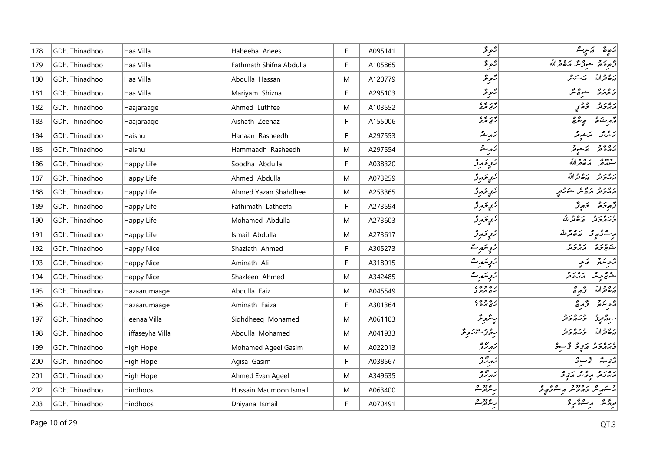| 178 | GDh. Thinadhoo | Haa Villa         | Habeeba Anees           | F  | A095141 | <u> رَّحو مَحَر</u>                | بَرَصِرَةٌ مَسِرِبٌ                                                                                                                                                                                                                 |
|-----|----------------|-------------------|-------------------------|----|---------|------------------------------------|-------------------------------------------------------------------------------------------------------------------------------------------------------------------------------------------------------------------------------------|
| 179 | GDh. Thinadhoo | Haa Villa         | Fathmath Shifna Abdulla | F. | A105865 | ا<br>شعر محمد<br>——                | قرج وحرم سور متر وره قرالله                                                                                                                                                                                                         |
| 180 | GDh. Thinadhoo | Haa Villa         | Abdulla Hassan          | M  | A120779 | رًّہ پر                            | مَدْهُ مَّدْاللَّهُ بَرْسَوْسُ                                                                                                                                                                                                      |
| 181 | GDh. Thinadhoo | Haa Villa         | Mariyam Shizna          | F. | A295103 | تروتر                              | و دره سوء ش                                                                                                                                                                                                                         |
| 182 | GDh. Thinadhoo | Haajaraage        | Ahmed Luthfee           | M  | A103552 | ہ ر د د<br>رقع ہور                 | ړ ده ده وه د                                                                                                                                                                                                                        |
| 183 | GDh. Thinadhoo | Haajaraage        | Aishath Zeenaz          | F  | A155006 | ی ر بر بر<br>رقع بور               | قدمشقى تمج تترجح                                                                                                                                                                                                                    |
| 184 | GDh. Thinadhoo | Haishu            | Hanaan Rasheedh         | F. | A297553 | برمريثه                            | ر محمد محمد المحمد المحمد المحمد المحمد المحمد المحمد المحمد المحمد المحمد المحمد المحمد المحمد المحمد المحمد<br>المحمد المحمد المحمد المحمد المحمد المحمد المحمد المحمد المحمد المحمد المحمد المحمد المحمد المحمد المحمد المحم<br> |
| 185 | GDh. Thinadhoo | Haishu            | Hammaadh Rasheedh       | M  | A297554 | بەرىقە                             | رە دو كەندىر                                                                                                                                                                                                                        |
| 186 | GDh. Thinadhoo | Happy Life        | Soodha Abdulla          | F  | A038320 | ر بو <sub>ت</sub> و بر ژ           | جودية مكافرالله                                                                                                                                                                                                                     |
| 187 | GDh. Thinadhoo | Happy Life        | Ahmed Abdulla           | M  | A073259 | <sup>ي</sup> بو ځه بو              | برورد بره دالله                                                                                                                                                                                                                     |
| 188 | GDh. Thinadhoo | Happy Life        | Ahmed Yazan Shahdhee    | M  | A253365 | ر بو <sub>ت</sub> و بر ژ           | ر و د و برخ ش شکره د                                                                                                                                                                                                                |
| 189 | GDh. Thinadhoo | Happy Life        | Fathimath Latheefa      | F  | A273594 | ر<br>رو پخ <sup>مبر و</sup>        | توالله للتحافية وتحافية وتحريج                                                                                                                                                                                                      |
| 190 | GDh. Thinadhoo | Happy Life        | Mohamed Abdulla         | M  | A273603 | تجويخ مرثى                         | وره رو ده دالله                                                                                                                                                                                                                     |
| 191 | GDh. Thinadhoo | Happy Life        | Ismail Abdulla          | M  | A273617 | <sup>ي</sup> پ <sub>و</sub> تر د ژ | مرحوصي حققه                                                                                                                                                                                                                         |
| 192 | GDh. Thinadhoo | Happy Nice        | Shazlath Ahmed          | F  | A305273 | نزې <sub>و</sub> سکېر <sup>ه</sup> | ر ور و ده ده<br>شویم وی ادبروتر                                                                                                                                                                                                     |
| 193 | GDh. Thinadhoo | <b>Happy Nice</b> | Aminath Ali             | F  | A318015 | ئ <sub>ە</sub> پە ئىدىم ب          | ד ב יימי ה' בין הייתו בין הייתו בין הייתו בין הייתו בין הייתו בין הייתו בין הייתו בין הייתו בין הייתו בין היית<br>הייתו בין הייתו בין הייתו בין הייתו בין הייתו בין הייתו בין הייתו בין הייתו בין הייתו בין הייתו בין הייתו בין<br> |
| 194 | GDh. Thinadhoo | <b>Happy Nice</b> | Shazleen Ahmed          | M  | A342485 | <sup>ی</sup> پ <sub>ر</sub> سکه به |                                                                                                                                                                                                                                     |
| 195 | GDh. Thinadhoo | Hazaarumaage      | Abdulla Faiz            | M  | A045549 | ر ۶ و ۶ ء<br>تر پنج بوری           | مَدْهِ مِرْ اللّهِ وَمِنْ مِيْ                                                                                                                                                                                                      |
| 196 | GDh. Thinadhoo | Hazaarumaage      | Aminath Faiza           | F. | A301364 | ر ۶ و ۶ ی<br>رسم مرو ی             | تۇم ئى<br>أرمز ترة                                                                                                                                                                                                                  |
| 197 | GDh. Thinadhoo | Heenaa Villa      | Sidhdheeq Mohamed       | M  | A061103 | ر پٿرو ٿر                          | و ره ر د<br><i>و پر</i> و تر<br>سوړ تور <sup>چ</sup><br>سر                                                                                                                                                                          |
| 198 | GDh. Thinadhoo | Hiffaseyha Villa  | Abdulla Mohamed         | M  | A041933 | رەمۇسىز ەر                         | مة قرالله وبرورد                                                                                                                                                                                                                    |
| 199 | GDh. Thinadhoo | High Hope         | Mohamed Ageel Gasim     | M  | A022013 | تەرجى                              | ورەرو رىپى ئىسو                                                                                                                                                                                                                     |
| 200 | GDh. Thinadhoo | <b>High Hope</b>  | Agisa Gasim             | F  | A038567 | ئەرجى                              | أَمَّ تِي تَسْرَحُرُ مَنْ رَبِّسِ وَ                                                                                                                                                                                                |
| 201 | GDh. Thinadhoo | High Hope         | Ahmed Evan Ageel        | M  | A349635 | تەرجى                              | رەرو رۇش كەنبى                                                                                                                                                                                                                      |
| 202 | GDh. Thinadhoo | Hindhoos          | Hussain Maumoon Ismail  | M  | A063400 | ر مرور م<br>بر مرور م              |                                                                                                                                                                                                                                     |
| 203 | GDh. Thinadhoo | Hindhoos          | Dhiyana Ismail          | F  | A070491 | بر مروژ م                          | ىرىگىنى برىشۇپرۇ                                                                                                                                                                                                                    |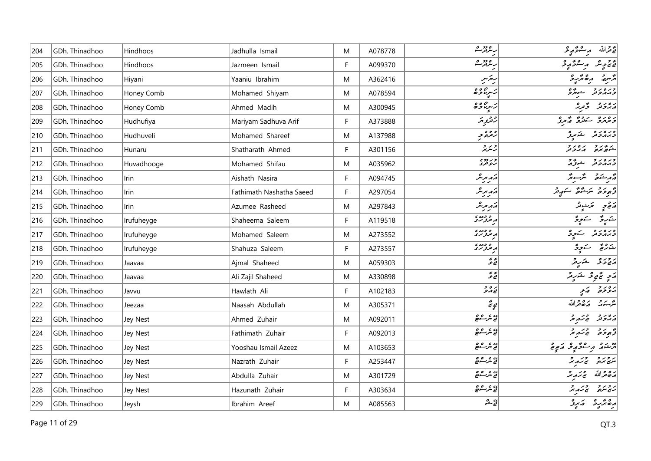| 204 | GDh. Thinadhoo | Hindhoos   | Jadhulla Ismail          | M  | A078778 | ار موجزیے                                  | برڪوڻپو<br>قٌعْ مَرْاللّه                            |
|-----|----------------|------------|--------------------------|----|---------|--------------------------------------------|------------------------------------------------------|
| 205 | GDh. Thinadhoo | Hindhoos   | Jazmeen Ismail           | F. | A099370 | ر موجو ھ                                   | برے څه یو<br>ۇ ج ج <sub>ە</sub> شر                   |
| 206 | GDh. Thinadhoo | Hiyani     | Yaaniu Ibrahim           | M  | A362416 | ریزمبر                                     | ترسيد<br>ىر ھەترىر <i>ۋ</i>                          |
| 207 | GDh. Thinadhoo | Honey Comb | Mohamed Shiyam           | M  | A078594 | ر<br>ئىرىئ <sup>و</sup> ۋە                 | و ر ه ر د<br><i>و بر</i> پر <del>ت</del> ر<br>شەدگرى |
| 208 | GDh. Thinadhoo | Honey Comb | Ahmed Madih              | M  | A300945 | ر<br>رسم ده ده                             | رەر ئەرە                                             |
| 209 | GDh. Thinadhoo | Hudhufiya  | Mariyam Sadhuva Arif     | F. | A373888 | <sup>32</sup> مرو <sub>ی</sub> ر           | رەرە روپ پەر                                         |
| 210 | GDh. Thinadhoo | Hudhuveli  | Mohamed Shareef          | M  | A137988 | و و ۽<br>رسمبر                             | ورەرو شىرو                                           |
| 211 | GDh. Thinadhoo | Hunaru     | Shatharath Ahmed         | F  | A301156 | و بر و<br>رس                               | أشوير والمرور                                        |
| 212 | GDh. Thinadhoo | Huvadhooge | Mohamed Shifau           | M  | A035962 | و ر دو ،<br>ر و تر د                       | ورەرو جوژه                                           |
| 213 | GDh. Thinadhoo | Irin       | Aishath Nasira           | F. | A094745 | لەم بىرىگە                                 | لأرشكش الكرسولا                                      |
| 214 | GDh. Thinadhoo | Irin       | Fathimath Nashatha Saeed | F. | A297054 |                                            | و و د د مرکز کرده کرد د                              |
| 215 | GDh. Thinadhoo | Irin       | Azumee Rasheed           | M  | A297843 | لەمبرىتر                                   | روح رکندولر<br>ارتجاح الکریشولر<br>انگریزی اسکوچ     |
| 216 | GDh. Thinadhoo | Irufuheyge | Shaheema Saleem          | F  | A119518 | د وده، ،<br>د بوتو رد                      |                                                      |
| 217 | GDh. Thinadhoo | Irufuheyge | Mohamed Saleem           | M  | A273552 | و وړ، ،<br>د بنرنۍ ر                       | وره دو در دو                                         |
| 218 | GDh. Thinadhoo | Irufuheyge | Shahuza Saleem           | F  | A273557 | <br>  پر ټرنۍ ر                            | شرژیځ   سکوچ                                         |
| 219 | GDh. Thinadhoo | Jaavaa     | Ajmal Shaheed            | M  | A059303 | پِ بِجِ<br>مع ح                            | روره شرید                                            |
| 220 | GDh. Thinadhoo | Jaavaa     | Ali Zajil Shaheed        | M  | A330898 | يو بي.<br>مع حر                            | ړَ پِه پُو څو ځوړند                                  |
| 221 | GDh. Thinadhoo | Javvu      | Hawlath Ali              | F. | A102183 | ر ه د<br>قع پر گ                           | رەرد دَى                                             |
| 222 | GDh. Thinadhoo | Jeezaa     | Naasah Abdullah          | M  | A305371 | ي تج<br>مح                                 | ەھ قراللە<br>ىگرىبەكەر2                              |
| 223 | GDh. Thinadhoo | Jey Nest   | Ahmed Zuhair             | M  | A092011 | ر مار مار مار مار<br>فع سر سائم مع         | גפיכ בנגב                                            |
| 224 | GDh. Thinadhoo | Jey Nest   | Fathimath Zuhair         | F  | A092013 | ر مار مار مار مار مار مار<br>مع سر مسلم مع | وتجوحكم محكم يحر                                     |
| 225 | GDh. Thinadhoo | Jey Nest   | Yooshau Ismail Azeez     | M  | A103653 | ي تر ره ه<br>قح مگر سگر هخ                 | מגד תפלקת בקב                                        |
| 226 | GDh. Thinadhoo | Jey Nest   | Nazrath Zuhair           | F  | A253447 | ر، عرض ه<br>قع سرب شري <mark>ق</mark>      | مرور و ورمر                                          |
| 227 | GDh. Thinadhoo | Jey Nest   | Abdulla Zuhair           | M  | A301729 | ر مار مار مار مار<br>فع سر سائم مع         | تح ئەمرىتى<br>ەھىراللە                               |
| 228 | GDh. Thinadhoo | Jey Nest   | Hazunath Zuhair          | F. | A303634 | ر مار مار مار مار<br>فع سر سائم مع         | ر در در در در برگ                                    |
| 229 | GDh. Thinadhoo | Jeysh      | Ibrahim Areef            | M  | A085563 | ي ره<br>قع سنگو                            | رە ئۆر ئەيرۇ                                         |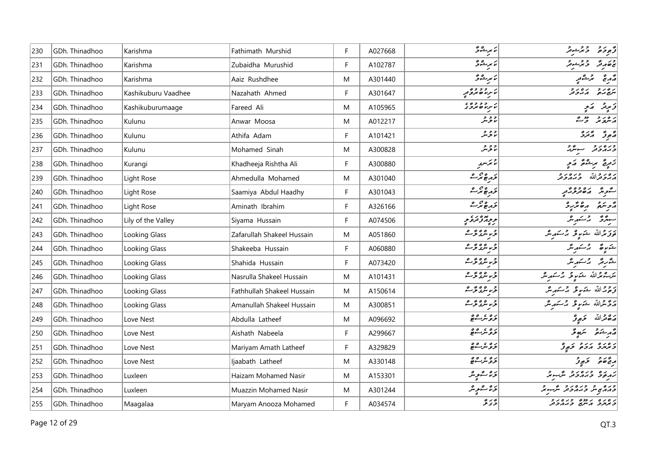| 230 | GDh. Thinadhoo | Karishma            | Fathimath Murshid          | F  | A027668 | ر <sub>موش</sub> و                           | و ده ده ده وراند                                |
|-----|----------------|---------------------|----------------------------|----|---------|----------------------------------------------|-------------------------------------------------|
| 231 | GDh. Thinadhoo | Karishma            | Zubaidha Murushid          | F. | A102787 | ر پر شرقر                                    | ح صر مدارست المستخرج الم                        |
| 232 | GDh. Thinadhoo | Karishma            | Aaiz Rushdhee              | M  | A301440 | لأمريثيقر                                    | $rac{2}{5}$<br>بمرشومر                          |
| 233 | GDh. Thinadhoo | Kashikuburu Vaadhee | Nazahath Ahmed             | F. | A301647 | <br> مەسرىي ھەتتىر ھەتتىر                    | ر در د<br>سرچ پر م<br>بر 2 در ج<br>مرکز کر      |
| 234 | GDh. Thinadhoo | Kashikuburumaage    | Fareed Ali                 | M  | A105965 | <br>  ما مربر کا محرکری                      | تخييش كمني                                      |
| 235 | GDh. Thinadhoo | Kulunu              | Anwar Moosa                | M  | A012217 | د د د<br>با په ک                             | رەر دىر                                         |
| 236 | GDh. Thinadhoo | Kulunu              | Athifa Adam                | F  | A101421 | د د د<br>با په ک                             | پھوڑ<br>ومجوقر                                  |
| 237 | GDh. Thinadhoo | Kulunu              | Mohamed Sinah              | M  | A300828 | د د د                                        | ورەرو سەر                                       |
| 238 | GDh. Thinadhoo | Kurangi             | Khadheeja Rishtha Ali      | F. | A300880 | رحم تترسريه                                  | كتعريق مرحضر كالمح                              |
| 239 | GDh. Thinadhoo | Light Rose          | Ahmedulla Mohamed          | M  | A301040 | خەرەتمەت                                     | رەروالله درەرد                                  |
| 240 | GDh. Thinadhoo | Light Rose          | Saamiya Abdul Haadhy       | F. | A301043 | لخديقة                                       | كرور مەمدومىر                                   |
| 241 | GDh. Thinadhoo | Light Rose          | Aminath Ibrahim            | F  | A326166 | لخدره جرحية                                  | הכתב הסתכ                                       |
| 242 | GDh. Thinadhoo | Lily of the Valley  | Siyama Hussain             | F  | A074506 | <br>  پر پر و تدو په                         | سەرى بر شەر بىر                                 |
| 243 | GDh. Thinadhoo | Looking Glass       | Zafarullah Shakeel Hussain | M  | A051860 | <sub>چىرىشمۇ ئۆر</sub>                       | خوتر بترالله خنوع جرستمريش                      |
| 244 | GDh. Thinadhoo | Looking Glass       | Shakeeba Hussain           | F  | A060880 | ۇر بىرى ئۇ شە                                | أشورة بركتهرش                                   |
| 245 | GDh. Thinadhoo | Looking Glass       | Shahida Hussain            | F. | A073420 | ۇ <sub>رىم</sub> ۋېچەت<br>مۇرىسى <b>ئ</b> ەت | شەرىق بۇسىمەتلە                                 |
| 246 | GDh. Thinadhoo | Looking Glass       | Nasrulla Shakeel Hussain   | M  | A101431 | ۇر مەمۇر ھ                                   | ىر موجراللە ھەرىپ چرىكىرىش                      |
| 247 | GDh. Thinadhoo | Looking Glass       | Fathhullah Shakeel Hussain | M  | A150614 | جىر شرى مۇرى                                 | وَحْدَاللّهُ حَدَيْدٍ فِرْسَهْرِ شَرْ           |
| 248 | GDh. Thinadhoo | Looking Glass       | Amanullah Shakeel Hussain  | M  | A300851 | دىر مرد ۇپ                                   | أرؤيمالله خوري برحورير                          |
| 249 | GDh. Thinadhoo | Love Nest           | Abdulla Latheef            | M  | A096692 | ترە ئەرە ھ                                   | مَە قىراللە خەمچەتر                             |
| 250 | GDh. Thinadhoo | Love Nest           | Aishath Nabeela            | F  | A299667 | ىرە ، رە ە                                   | وأرشكم سكهو                                     |
| 251 | GDh. Thinadhoo | Love Nest           | Mariyam Amath Latheef      | F  | A329829 | ىرە ، يەرە                                   | ره ره در د و درو                                |
| 252 | GDh. Thinadhoo | Love Nest           | ljaabath Latheef           | M  | A330148 | ىرە ، ئەرە                                   | برقى ھەر كەبور                                  |
| 253 | GDh. Thinadhoo | Luxleen             | Haizam Mohamed Nasir       | M  | A153301 | ئۇنۇ شەمەيە شە                               | زرنوفه وبرورو المرسول                           |
| 254 | GDh. Thinadhoo | Luxleen             | Muazzin Mohamed Nasir      | M  | A301244 | ئۇنا شەمەيە تىر                              | כנס כ כנסנכ ת-ב<br>כממץ ית כממכת יתי-ית         |
| 255 | GDh. Thinadhoo | Maagalaa            | Maryam Anooza Mohamed      | F. | A034574 | ۇزۇ                                          | ג סג ס"ג חבר בג סג ב<br>ב"זנחב" ה"יו"ש ב"ג הב"ט |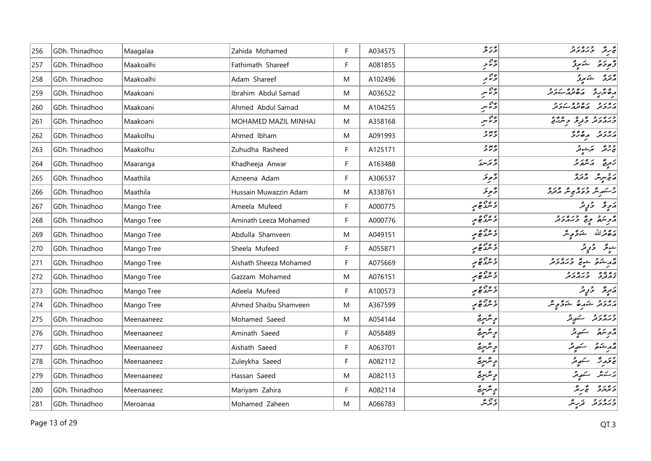| 256 | GDh. Thinadhoo | Maagalaa   | Zahida Mohamed         | F  | A034575 | ۇرۇ                             | مجرية ورود و<br>محرقة ويهدونه                            |
|-----|----------------|------------|------------------------|----|---------|---------------------------------|----------------------------------------------------------|
| 257 | GDh. Thinadhoo | Maakoalhi  | Fathimath Shareef      | F. | A081855 | پەر<br>قرىمۇ                    | و دورو شهرو<br>توجوده شهرو<br>ادره شهرو                  |
| 258 | GDh. Thinadhoo | Maakoalhi  | Adam Shareef           | M  | A102496 | پر م<br>مرتكو مو                |                                                          |
| 259 | GDh. Thinadhoo | Maakoani   | Ibrahim Abdul Samad    | M  | A036522 | اقتقسر                          | ر ٥ ٥ ٥ ٥ ر ر و<br>پرەنزو سەرتر<br>ە ھەترىر <sup>ە</sup> |
| 260 | GDh. Thinadhoo | Maakoani   | Ahmed Abdul Samad      | M  | A104255 | و مړ <sub>سمب</sub>             | נסני נסיס נני<br>גיבי הסינג-בינ                          |
| 261 | GDh. Thinadhoo | Maakoani   | MOHAMED MAZIL MINHAJ   | M  | A358168 | وي <sub>م مېر</sub>             | ورەرو ۋىرو ومرتزق                                        |
| 262 | GDh. Thinadhoo | Maakolhu   | Ahmed Ibham            | M  | A091993 | پر بر و<br>و را بل              | גם ג' קישיב<br>הגבית קישיב                               |
| 263 | GDh. Thinadhoo | Maakolhu   | Zuhudha Rasheed        | F  | A125171 | پر بر د<br>تر <i>ب</i> ر تر     | ج حر تعمیر میں تعمیر<br>  سی حر تعمیر میں تعمیر          |
| 264 | GDh. Thinadhoo | Maaranga   | Khadheeja Anwar        | F  | A163488 | ۇ ئەس <i>ى</i> كە               | زىرى <i>غ مەرەب</i> ر                                    |
| 265 | GDh. Thinadhoo | Maathila   | Azneena Adam           | F. | A306537 | قرموخه                          | ړ جې سربنگر د کر ترک                                     |
| 266 | GDh. Thinadhoo | Maathila   | Hussain Muwazzin Adam  | M  | A338761 | ۇ م <sub>و</sub> مۇ             | 2 הוקיית כפרות יית ובנים                                 |
| 267 | GDh. Thinadhoo | Mango Tree | Ameela Mufeed          | F. | A000775 | <br> دىندۇم يې                  | أأوقر وأوقر                                              |
| 268 | GDh. Thinadhoo | Mango Tree | Aminath Leeza Mohamed  | F  | A000776 | ومره وير                        | הכיתה כי כל הביר                                         |
| 269 | GDh. Thinadhoo | Mango Tree | Abdulla Shamveen       | M  | A049151 | ء وصح پر                        | برة قرالله خوفرم مر                                      |
| 270 | GDh. Thinadhoo | Mango Tree | Sheela Mufeed          | F  | A055871 | <br> دىندۇم يې                  | خوفى المحتمو فر                                          |
| 271 | GDh. Thinadhoo | Mango Tree | Aishath Sheeza Mohamed | F  | A075669 | <br> دسموه مړ                   | د.<br>در شومی شومج وبرورونر                              |
| 272 | GDh. Thinadhoo | Mango Tree | Gazzam Mohamed         | M  | A076151 | ء وج ۾ پر                       | גם כם כגם גב<br>צגע <sub>ר</sub> כ כג <i>ו</i> בב        |
| 273 | GDh. Thinadhoo | Mango Tree | Adeela Mufeed          | F. | A100573 | ومره وير                        | پر تو چې تو تو تر                                        |
| 274 | GDh. Thinadhoo | Mango Tree | Ahmed Shaibu Shamveen  | M  | A367599 | ومرومير                         | رەر ئەرق ئەۋەپ                                           |
| 275 | GDh. Thinadhoo | Meenaaneez | Mohamed Saeed          | M  | A054144 | د بگرس <u>رچ</u>                | 3 مەرجى كەرگە<br><i>2 مەمۇلىرى كەرگە</i>                 |
| 276 | GDh. Thinadhoo | Meenaaneez | Aminath Saeed          | F  | A058489 | ىر ئىگەنىزىقى<br>ئ <sup>ى</sup> | ۇرچىكى سەر ئۇ                                            |
| 277 | GDh. Thinadhoo | Meenaaneez | Aishath Saeed          | F  | A063701 | وبڈیری                          | أقهر شدة والمستورثة                                      |
| 278 | GDh. Thinadhoo | Meenaaneez | Zuleykha Saeed         | F  | A082112 | وبڈسرچ                          | ە ئەرگە سەرگە                                            |
| 279 | GDh. Thinadhoo | Meenaaneez | Hassan Saeed           | M  | A082113 | وبڈبرچ                          | بر سەمىر سىمەيد                                          |
| 280 | GDh. Thinadhoo | Meenaaneez | Mariyam Zahira         | F. | A082114 | وبڈیری                          | و وره ځرنگه                                              |
| 281 | GDh. Thinadhoo | Meroanaa   | Mohamed Zaheen         | M  | A066783 | وحريثر                          | ورەرو برېر                                               |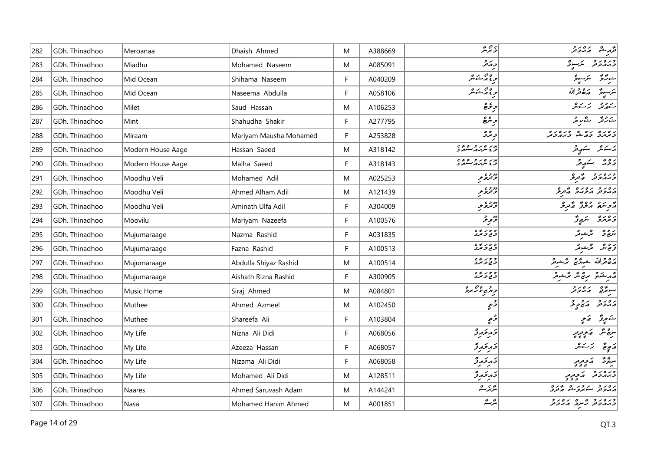| 282 | GDh. Thinadhoo | Meroanaa          | Dhaish Ahmed           | M           | A388669 | ی ص عر<br>حر سر                       | أقرمره برورد                                                 |
|-----|----------------|-------------------|------------------------|-------------|---------|---------------------------------------|--------------------------------------------------------------|
| 283 | GDh. Thinadhoo | Miadhu            | Mohamed Naseem         | M           | A085091 | و پر تر                               | ورەرو شريدۇ                                                  |
| 284 | GDh. Thinadhoo | Mid Ocean         | Shihama Naseem         | F           | A040209 | و،مچمشک                               | الموركز الكراسور<br>المركز الكراسور                          |
| 285 | GDh. Thinadhoo | Mid Ocean         | Naseema Abdulla        | F           | A058106 | ە <i>مى</i> ھەيھىر                    | ەھىراللە<br>ىئەسەۋ                                           |
| 286 | GDh. Thinadhoo | Milet             | Saud Hassan            | M           | A106253 | ولحرهج                                | سەھ ئەسكەش                                                   |
| 287 | GDh. Thinadhoo | Mint              | Shahudha Shakir        | F           | A277795 | وبثرهج                                | لشررقر الشرير                                                |
| 288 | GDh. Thinadhoo | Miraam            | Mariyam Mausha Mohamed | F           | A253828 | و بۇ ە                                | נפנם נפי בנוסנד                                              |
| 289 | GDh. Thinadhoo | Modern House Aage | Hassan Saeed           | M           | A318142 | پور ہ ر د م د پ<br>و ۽ سربرار سواری   | ىزىكەش سەمدىر                                                |
| 290 | GDh. Thinadhoo | Modern House Aage | Malha Saeed            | F           | A318143 | پور ہ ر و ے دی<br>حرفی سربرار         | رەپ سەرد                                                     |
| 291 | GDh. Thinadhoo | Moodhu Veli       | Mohamed Adil           | M           | A025253 | دو و ء<br>تر تر تر محب                | ورەر دەرد                                                    |
| 292 | GDh. Thinadhoo | Moodhu Veli       | Ahmed Alham Adil       | M           | A121439 | دد د ،<br>و تو و و                    | رەر د رەرە گەرگ                                              |
| 293 | GDh. Thinadhoo | Moodhu Veli       | Aminath Ulfa Adil      | $\mathsf F$ | A304009 | دد د ه<br>تر تره م                    | أأدبره أدوؤا أدرو                                            |
| 294 | GDh. Thinadhoo | Moovilu           | Mariyam Nazeefa        | F           | A100576 | قرحر قحر                              | د ۱۵ د سرچ وگ                                                |
| 295 | GDh. Thinadhoo | Mujumaraage       | Nazma Rashid           | $\mathsf F$ | A031835 | و و ر پر پر<br>تر بح تر <i>بر</i> پر  | ر و د محمد شرقر                                              |
| 296 | GDh. Thinadhoo | Mujumaraage       | Fazna Rashid           | F           | A100513 | و و ر پر پر<br>تر بح تر <i>ب</i> ر پر | ۇچ ئىگە ئىگەشلىقى                                            |
| 297 | GDh. Thinadhoo | Mujumaraage       | Abdulla Shiyaz Rashid  | M           | A100514 | و و ر پر پر<br>و بح تر بمرد           | رە داللە ھەرگە گرھەتر                                        |
| 298 | GDh. Thinadhoo | Mujumaraage       | Aishath Rizna Rashid   | F           | A300905 | و و ر د » ،<br>و بی و بو <sub>ی</sub> | ە<br>مەستىم بىرى ئىر ئىر شوتر                                |
| 299 | GDh. Thinadhoo | Music Home        | Siraj Ahmed            | M           | A084801 | <br> حەرىج مارىمەلىر                  | سويدة برەرد                                                  |
| 300 | GDh. Thinadhoo | Muthee            | Ahmed Azmeel           | M           | A102450 | د<br>حي                               | ד סיב ביציב                                                  |
| 301 | GDh. Thinadhoo | Muthee            | Shareefa Ali           | F           | A103804 | و<br>حرمج                             | لمشهور أأأمج                                                 |
| 302 | GDh. Thinadhoo | My Life           | Nizna Ali Didi         | F           | A068056 | خەبزىرۇ                               |                                                              |
| 303 | GDh. Thinadhoo | My Life           | Azeeza Hassan          | $\mathsf F$ | A068057 | خەبخەبۇ                               | سرچنگ <sub>امک</sub> ویربر<br>سرچنگ امکویربر<br>امکانچنگ امک |
| 304 | GDh. Thinadhoo | My Life           | Nizama Ali Didi        | $\mathsf F$ | A068058 | خەرىخەرى                              | سرة كالمحوفرقر                                               |
| 305 | GDh. Thinadhoo | My Life           | Mohamed Ali Didi       | M           | A128511 | ۇ بر <del>ئ</del> رىۋ                 | وره د د کردربر<br>د برود د کردربر                            |
| 306 | GDh. Thinadhoo | Naares            | Ahmed Saruvash Adam    | M           | A144241 | متزبر عه                              | رەرد رىپەرە ئەرە<br>مەردىر سەيرەشە مە <mark>ت</mark> رى      |
| 307 | GDh. Thinadhoo | Nasa              | Mohamed Hanim Ahmed    | M           | A001851 | مترسّ                                 | ورەر د پره دەر د                                             |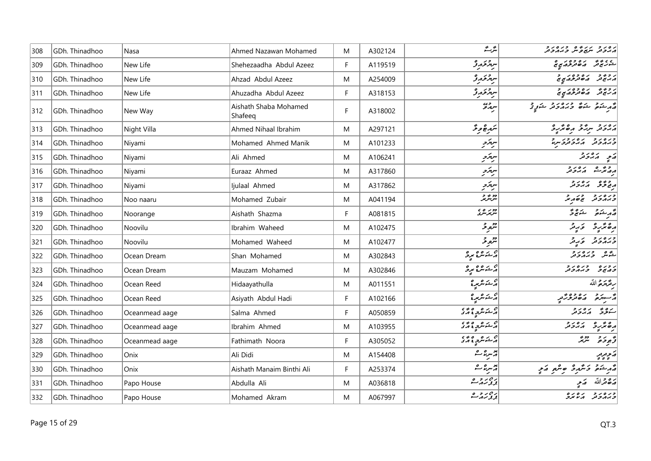| 308 | GDh. Thinadhoo | Nasa           | Ahmed Nazawan Mohamed            | M  | A302124 | ىئرىشە                           | גם גב גגלם כגם גב<br>גגבת יינאפית כגגבת         |
|-----|----------------|----------------|----------------------------------|----|---------|----------------------------------|-------------------------------------------------|
| 309 | GDh. Thinadhoo | New Life       | Shehezaadha Abdul Azeez          | F. | A119519 | سرد ځرمه ژ                       | ، ، ، » د م ده ده د ه<br>شرکت د ماه مرحم کم نوع |
| 310 | GDh. Thinadhoo | New Life       | Ahzad Abdul Azeez                | M  | A254009 | سرە ئەر ۋ                        | ג כשב גם כסג כ<br>גג איט גם <i>נגדי</i> קא      |
| 311 | GDh. Thinadhoo | New Life       | Ahuzadha Abdul Azeez             | F. | A318153 | سرمز خرمر و                      | ر د و ده ده ده د د                              |
| 312 | GDh. Thinadhoo | New Way        | Aishath Shaba Mohamed<br>Shafeeq | F  | A318002 | سرون<br>سرونو                    |                                                 |
| 313 | GDh. Thinadhoo | Night Villa    | Ahmed Nihaal Ibrahim             | M  | A297121 | ىئەرغۇر ئە                       | رورد سرزد ره ژرد                                |
| 314 | GDh. Thinadhoo | Niyami         | Mohamed Ahmed Manik              | M  | A101233 | سرمركر                           | כנסגב גסגבנית                                   |
| 315 | GDh. Thinadhoo | Niyami         | Ali Ahmed                        | M  | A106241 | سرمر<br>ر                        | أركمني أراد وراد                                |
| 316 | GDh. Thinadhoo | Niyami         | Euraaz Ahmed                     | M  | A317860 | سريرتر                           | بروس بره رو                                     |
| 317 | GDh. Thinadhoo | Niyami         | Ijulaal Ahmed                    | M  | A317862 | سرمركر                           | أمضغو مترومز                                    |
| 318 | GDh. Thinadhoo | Noo naaru      | Mohamed Zubair                   | M  | A041194 | دد بر د<br>سرسربر                | כנסנכ כנגב                                      |
| 319 | GDh. Thinadhoo | Noorange       | Aishath Shazma                   | F. | A081815 | دد بر ه ،<br>مربر مربر           | أوكر مشكوه والمستعار                            |
| 320 | GDh. Thinadhoo | <b>Noovilu</b> | Ibrahim Waheed                   | M  | A102475 | يتروخه                           | رە ئرىر ئىرىر                                   |
| 321 | GDh. Thinadhoo | Noovilu        | Mohamed Waheed                   | M  | A102477 | يتروخه                           | -------<br>  <i>בגהבת פ</i> ֿגַע                |
| 322 | GDh. Thinadhoo | Ocean Dream    | Shan Mohamed                     | M  | A302843 | ە ئەنگەرى بەر<br>م               | شهر وره <i>د</i> و                              |
| 323 | GDh. Thinadhoo | Ocean Dream    | Mauzam Mohamed                   | M  | A302846 | ە ئەكەندى ب <sub>ىر</sub> ى<br>م | נגנים בנסגב<br>בגובל בגבבת                      |
| 324 | GDh. Thinadhoo | Ocean Reed     | Hidaayathulla                    | M  | A011551 | ى<br>مەسىئە مىرىيە               | سِعْدِ مِرْحَمْ اللّهَ                          |
| 325 | GDh. Thinadhoo | Ocean Reed     | Asiyath Abdul Hadi               | F. | A102166 | ە ئەيەر مەرىپە                   | ה ליחודים הסתבתת                                |
| 326 | GDh. Thinadhoo | Oceanmead aage | Salma Ahmed                      | F. | A050859 |                                  | ستوفز أيرومو                                    |
| 327 | GDh. Thinadhoo | Oceanmead aage | Ibrahim Ahmed                    | M  | A103955 |                                  | دەنزىرە دەرد<br>دەنزىرە مەدىر                   |
| 328 | GDh. Thinadhoo | Oceanmead aage | Fathimath Noora                  | F. | A305052 |                                  | $\frac{2}{3}$<br>سرپر                           |
| 329 | GDh. Thinadhoo | Onix           | Ali Didi                         | M  | A154408 | أرسوره مشه                       | ر و درد<br>ء ء                                  |
| 330 | GDh. Thinadhoo | Onix           | Aishath Manaim Binthi Ali        | F  | A253374 | وسرىر م                          |                                                 |
| 331 | GDh. Thinadhoo | Papo House     | Abdulla Ali                      | M  | A036818 | بر ص بر و <u>ه</u>               | صكارة صحيحه                                     |
| 332 | GDh. Thinadhoo | Papo House     | Mohamed Akram                    | M  | A067997 | بر ص بر ح ه<br>بو بو شهر شد      | כנסנכ נסנס<br>כגהכת העיב                        |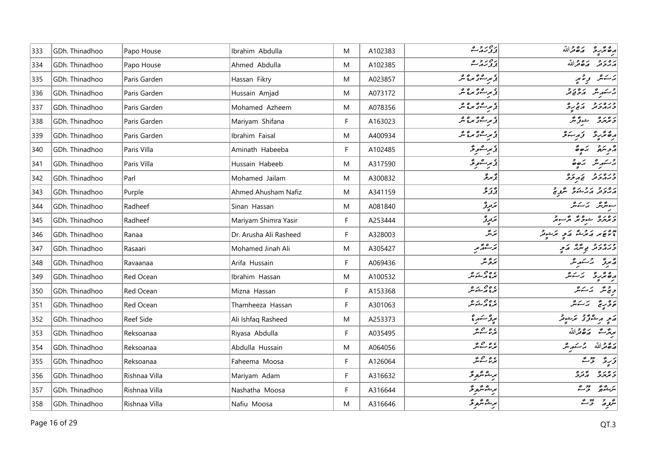| 333 | GDh. Thinadhoo | Papo House    | Ibrahim Abdulla        | M  | A102383 | پر <i>می بر ج</i> ه ه                       | أرە ئرىرى ئەھىراللە                                           |
|-----|----------------|---------------|------------------------|----|---------|---------------------------------------------|---------------------------------------------------------------|
| 334 | GDh. Thinadhoo | Papo House    | Ahmed Abdulla          | M  | A102385 | رە روپە                                     | برورد بره قرالله                                              |
| 335 | GDh. Thinadhoo | Paris Garden  | Hassan Fikry           | M  | A023857 | ۇ بىر سىمۇ بىر ، مىر                        | يرسيقد ويتمير                                                 |
| 336 | GDh. Thinadhoo | Paris Garden  | Hussain Amjad          | M  | A073172 | ۇبېرىشتۇبىر قىتىر                           | چرے کر مرکز کر دیا ہے۔<br>ج                                   |
| 337 | GDh. Thinadhoo | Paris Garden  | Mohamed Azheem         | M  | A078356 | <br>  پېرىسى ئىرقىمىدىكى<br> -              | כנים ניבים                                                    |
| 338 | GDh. Thinadhoo | Paris Garden  | Mariyam Shifana        | F  | A163023 | ئۇ بىر سىرىمى تەر<br>  ئۇ بىر سىرىمى تەر    | أد وره شوژنگر                                                 |
| 339 | GDh. Thinadhoo | Paris Garden  | Ibrahim Faisal         | M  | A400934 | ا ئىبرىش <sup>ى</sup> ئىر ئىگە              | رەتۇر ۋەبىك                                                   |
| 340 | GDh. Thinadhoo | Paris Villa   | Aminath Habeeba        | F  | A102485 | ۇ برىشمو ئۇ                                 | أروسكو أأوقع                                                  |
| 341 | GDh. Thinadhoo | Paris Villa   | Hussain Habeeb         | M  | A317590 | ئۇ بىرىش <sub>مو</sub> ئۇ                   | 2 كورىش برك ك                                                 |
| 342 | GDh. Thinadhoo | Parl          | Mohamed Jailam         | M  | A300832 | ۇ برىژ                                      | ورەرو ھ برگ                                                   |
| 343 | GDh. Thinadhoo | Purple        | Ahmed Ahusham Nafiz    | M  | A341159 | پور ہ<br>جو بو بھ                           | رور و رورو شرح                                                |
| 344 | GDh. Thinadhoo | Radheef       | Sinan Hassan           | M  | A081840 | ىرىرد                                       | سونترنتر برسترنتر                                             |
| 345 | GDh. Thinadhoo | Radheef       | Mariyam Shimra Yasir   | F  | A253444 | ىرىرد                                       | رەرە ھوتە ئەسىر                                               |
| 346 | GDh. Thinadhoo | Ranaa         | Dr. Arusha Ali Rasheed | F  | A328003 | ىئەنىگە                                     | برەنج بر كەيمرىش كەم كەن كەر                                  |
| 347 | GDh. Thinadhoo | Rasaari       | Mohamed Jinah Ali      | M  | A305427 | ئەسشەتمەس                                   | ورەرو يې شرك مكر                                              |
| 348 | GDh. Thinadhoo | Ravaanaa      | Arifa Hussain          | F  | A069436 | ىر بە بەر<br>ئىرە ئىتر                      | ەللىر ئەسىر ئىسىر                                             |
| 349 | GDh. Thinadhoo | Red Ocean     | Ibrahim Hassan         | M  | A100532 | <sup>ى 7</sup> 0م بىر ھ                     |                                                               |
| 350 | GDh. Thinadhoo | Red Ocean     | Mizna Hassan           | F  | A153368 | <sup>ى ەم</sup> ، ئەھر                      | دېڅنگر برکستر                                                 |
| 351 | GDh. Thinadhoo | Red Ocean     | Thamheeza Hassan       | F  | A301063 | <sup>ى ەە</sup> ك ئەكە                      | ەۋرىئە بەسەھ                                                  |
| 352 | GDh. Thinadhoo | Reef Side     | Ali Ishfaq Rasheed     | M  | A253373 | ا پر ژ س <sup>ت</sup> ور ؟<br>په سن         | كرىم مەشكۇتى كرسونى<br>مەم مەشكۇتى كرسونى<br>مەم گە كەن ئاللە |
| 353 | GDh. Thinadhoo | Reksoanaa     | Riyasa Abdulla         | F  | A035495 | ى <i>ھ يى</i><br>بىرى <sub>نا</sub> سىرىئىر |                                                               |
| 354 | GDh. Thinadhoo | Reksoanaa     | Abdulla Hussain        | M  | A064056 | ي ه ه مه شو میگر                            | رە قەللە جەسكەب                                               |
| 355 | GDh. Thinadhoo | Reksoanaa     | Faheema Moosa          | F  | A126064 | ي ه ه مه شو میگر                            | أوَرِدٌ وَرَسٌ                                                |
| 356 | GDh. Thinadhoo | Rishnaa Villa | Mariyam Adam           | F  | A316632 | ىرىشە ئىرىمۇ                                | ر ه ر ه<br><del>ر</del> بربر د<br>پور ہ<br>مرکز ژ             |
| 357 | GDh. Thinadhoo | Rishnaa Villa | Nashatha Moosa         | F. | A316644 | <br> برڪ مٿرمو ٿر                           | سَرَڪْرَ ۾َ<br>دو مشر                                         |
| 358 | GDh. Thinadhoo | Rishnaa Villa | Nafiu Moosa            | M  | A316646 | ىرىشە ئىزىر ئە                              | سٌرِ په دست                                                   |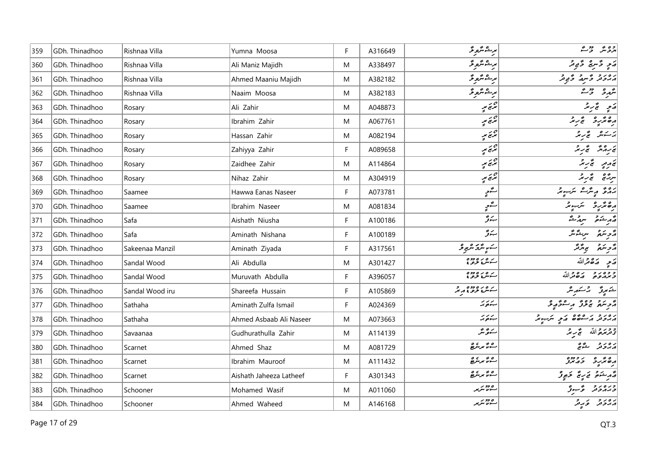| 359 | GDh. Thinadhoo | Rishnaa Villa   | Yumna Moosa             | F  | A316649 | برىشەتترە ئۇ                      | وومر وحي                                  |
|-----|----------------|-----------------|-------------------------|----|---------|-----------------------------------|-------------------------------------------|
| 360 | GDh. Thinadhoo | Rishnaa Villa   | Ali Maniz Majidh        | M  | A338497 | ىرىشە ئىز بەرگە                   | ړَ په دُسرچ دُو پر                        |
| 361 | GDh. Thinadhoo | Rishnaa Villa   | Ahmed Maaniu Majidh     | M  | A382182 | بريثونترو قر                      | رور و و مرد و و د                         |
| 362 | GDh. Thinadhoo | Rishnaa Villa   | Naaim Moosa             | M  | A382183 | ىرىشە ئىگرى ق                     | ديو مشر<br>متمدقه                         |
| 363 | GDh. Thinadhoo | Rosary          | Ali Zahir               | M  | A048873 | ە<br>ئىرىئے ئىپ                   | $\frac{2}{3}$ $\frac{2}{3}$ $\frac{2}{3}$ |
| 364 | GDh. Thinadhoo | Rosary          | Ibrahim Zahir           | M  | A067761 | ەر<br>ئىرىئى ئىپ                  | ە ھەترىرى<br>مەھىرىرى<br>پچ سر چر         |
| 365 | GDh. Thinadhoo | Rosary          | Hassan Zahir            | M  | A082194 | ہ<br>تنزیح سمبر                   | ىز سەھرىكى بىر<br>مەسىمە ئىس بىر          |
| 366 | GDh. Thinadhoo | Rosary          | Zahiyya Zahir           | F  | A089658 | ہ<br>تنزیح سمبر                   | تج سر تنر                                 |
| 367 | GDh. Thinadhoo | Rosary          | Zaidhee Zahir           | M  | A114864 | چېمېمپر                           | پچ سر پټر<br>س<br>ئے در قبر<br>س          |
| 368 | GDh. Thinadhoo | Rosary          | Nihaz Zahir             | M  | A304919 | ہ<br>تنزیح سمبر                   | سرجيح<br>چ سر پر<br>م                     |
| 369 | GDh. Thinadhoo | Saamee          | Hawwa Eanas Naseer      | F. | A073781 | استجهجه                           |                                           |
| 370 | GDh. Thinadhoo | Saamee          | Ibrahim Naseer          | M  | A081834 | ستنهج                             | ה פיצוב ותו-די                            |
| 371 | GDh. Thinadhoo | Safa            | Aishath Niusha          | F  | A100186 | سەۋ                               | ر<br>ر <sub>گرم</sub> شکو سرگ             |
| 372 | GDh. Thinadhoo | Safa            | Aminath Nishana         | F  | A100189 | سِتَوَرَّ                         | ړې سره<br>سرىشىگە                         |
| 373 | GDh. Thinadhoo | Sakeenaa Manzil | Aminath Ziyada          | F  | A317561 | سەر بىر ئەسىر ئىسىر ئىسىر ئىس     | أأترجع بمراتئر                            |
| 374 | GDh. Thinadhoo | Sandal Wood     | Ali Abdulla             | M  | A301427 | ر ۱۵ د ۱۵ وه<br>سرمانو نوحون      | أقدم قدمة والله                           |
| 375 | GDh. Thinadhoo | Sandal Wood     | Muruvath Abdulla        | F  | A396057 | ر په د وروه<br>سرمل مرولا         | ووه رو بره دالله                          |
| 376 | GDh. Thinadhoo | Sandal Wood iru | Shareefa Hussain        | F. | A105869 | ره ره ده ه و<br>سوسره مرحو پورنتر | ڪيوڙ گاسگريش                              |
| 377 | GDh. Thinadhoo | Sathaha         | Aminath Zulfa Ismail    | F. | A024369 | ىبزە ئە                           | أروسهم بالموثر والمسترور                  |
| 378 | GDh. Thinadhoo | Sathaha         | Ahmed Asbaab Ali Naseer | M  | A073663 | سەھ بر                            | גם גב גם שם הב תאורית                     |
| 379 | GDh. Thinadhoo | Savaanaa        | Gudhurathulla Zahir     | M  | A114139 | ىە ئەشر                           | وحريرة الله عج سي مر                      |
| 380 | GDh. Thinadhoo | Scarnet         | Ahmed Shaz              | M  | A081729 | <u>ه پرس پره</u>                  | رەر ئەرە                                  |
| 381 | GDh. Thinadhoo | Scarnet         | Ibrahim Mauroof         | M  | A111432 | 2 ئەربىر ي <i>ۈ</i>               | ת פיציב בהיינד                            |
| 382 | GDh. Thinadhoo | Scarnet         | Aishath Jaheeza Latheef | F. | A301343 | 2 پر س <sup>ي</sup> ھ             | ومشكوه في منتج تحوي                       |
| 383 | GDh. Thinadhoo | Schooner        | Mohamed Wasif           | M  | A011060 | ه ۶۶ مربر<br>شورا متربر           | وره در و .<br> ورزارو و مبرو              |
| 384 | GDh. Thinadhoo | Schooner        | Ahmed Waheed            | M  | A146168 | ه دو بر پر                        | أرەر ئەر ئەر                              |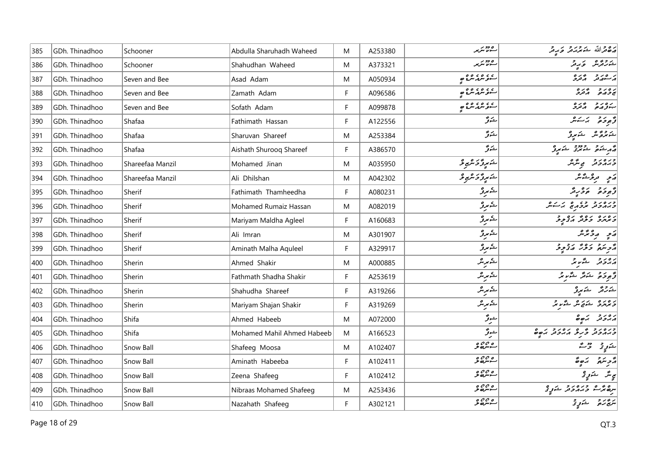| 385 | GDh. Thinadhoo | Schooner         | Abdulla Sharuhadh Waheed   | M           | A253380 | ە دەپر                       | رە داللە خەمدىن كەرد                                                                           |
|-----|----------------|------------------|----------------------------|-------------|---------|------------------------------|------------------------------------------------------------------------------------------------|
| 386 | GDh. Thinadhoo | Schooner         | Shahudhan Waheed           | M           | A373321 | ه <sup>دد</sup> بربر         | ے دیکھ کے پر                                                                                   |
| 387 | GDh. Thinadhoo | Seven and Bee    | Asad Adam                  | M           | A050934 |                              | يرے پر پر د                                                                                    |
| 388 | GDh. Thinadhoo | Seven and Bee    | Zamath Adam                | F           | A096586 |                              | נ סני 3 מינים<br>גידומים ומינים                                                                |
| 389 | GDh. Thinadhoo | Seven and Bee    | Sofath Adam                | $\mathsf F$ | A099878 |                              | سره در وره<br>سروچو پرفرو                                                                      |
| 390 | GDh. Thinadhoo | Shafaa           | Fathimath Hassan           | F           | A122556 | ىشتۇ                         | قويحو بمسكر                                                                                    |
| 391 | GDh. Thinadhoo | Shafaa           | Sharuvan Shareef           | M           | A253384 | شەڭ                          | شەرەش شەرۇ                                                                                     |
| 392 | GDh. Thinadhoo | Shafaa           | Aishath Shurooq Shareef    | F           | A386570 | شەتى                         | $\begin{array}{cc} \circ & \circ & \circ & \circ \\ \circ & \circ & \circ & \circ \end{array}$ |
| 393 | GDh. Thinadhoo | Shareefaa Manzil | Mohamed Jinan              | M           | A035950 | ىش <i>كىرۇ كەنگىر</i> بۇ     | ورەرو يېش                                                                                      |
| 394 | GDh. Thinadhoo | Shareefaa Manzil | Ali Dhilshan               | M           | A042302 | ىش <i>ە بېرۇ كەنگىنى</i> بىر | أركم والمحر والمحدث                                                                            |
| 395 | GDh. Thinadhoo | Sherif           | Fathimath Thamheedha       | F.          | A080231 | ڪريڙ                         | توجدة المحاجمة                                                                                 |
| 396 | GDh. Thinadhoo | Sherif           | Mohamed Rumaiz Hassan      | M           | A082019 | ڪوبوگر                       |                                                                                                |
| 397 | GDh. Thinadhoo | Sherif           | Mariyam Maldha Agleel      | F           | A160683 | ڪ مرو                        | رەرە روش رەمزە                                                                                 |
| 398 | GDh. Thinadhoo | Sherif           | Ali Imran                  | M           | A301907 | ڪ مرو<br>س                   | ړې پرونژنر                                                                                     |
| 399 | GDh. Thinadhoo | Sherif           | Aminath Malha Aquleel      | F           | A329917 | ے برو<br>مشرمر               | أأوسع ووثا أأووقر                                                                              |
| 400 | GDh. Thinadhoo | Sherin           | Ahmed Shakir               | M           | A000885 | ڪ مريگر<br>س                 | رەرد شەر                                                                                       |
| 401 | GDh. Thinadhoo | Sherin           | Fathmath Shadha Shakir     | F           | A253619 | ڪ مريگر<br>س                 | و دو دو شکړه.                                                                                  |
| 402 | GDh. Thinadhoo | Sherin           | Shahudha Shareef           | F           | A319266 | ڪ مريگر<br>م                 | المشركة المستمريني                                                                             |
| 403 | GDh. Thinadhoo | Sherin           | Mariyam Shajan Shakir      | F           | A319269 | ڪوبرنگر<br>س                 | و وره در و شور شرد                                                                             |
| 404 | GDh. Thinadhoo | Shifa            | Ahmed Habeeb               | M           | A072000 | خوترٌ<br>مر                  | $rac{0}{1000}$ $rac{0}{1000}$                                                                  |
| 405 | GDh. Thinadhoo | Shifa            | Mohamed Mahil Ahmed Habeeb | M           | A166523 | شىرگە                        |                                                                                                |
| 406 | GDh. Thinadhoo | Snow Ball        | Shafeeg Moosa              | M           | A102407 | بەم يو                       | $\begin{array}{cc} \mathcal{L} \ \mathcal{L} \ \mathcal{L} \ \mathcal{L} \end{array}$          |
| 407 | GDh. Thinadhoo | Snow Ball        | Aminath Habeeba            | $\mathsf F$ | A102411 | بەم يو                       |                                                                                                |
| 408 | GDh. Thinadhoo | Snow Ball        | Zeena Shafeeg              | F           | A102412 | <u>ه ۵</u> ۵ و               | پې شکو تو تو                                                                                   |
| 409 | GDh. Thinadhoo | Snow Ball        | Nibraas Mohamed Shafeeg    | M           | A253436 | بەم يو                       |                                                                                                |
| 410 | GDh. Thinadhoo | Snow Ball        | Nazahath Shafeeg           | F           | A302121 | مەم يو                       | <i>سرچ رخته در جگ</i> ور                                                                       |
|     |                |                  |                            |             |         |                              |                                                                                                |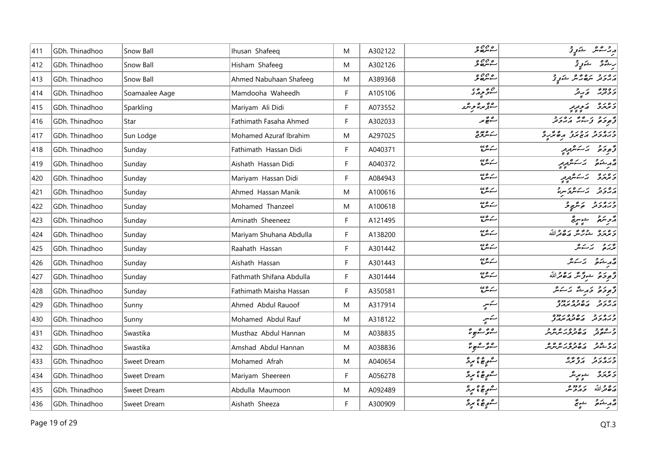| 411 | GDh. Thinadhoo | Snow Ball      | Ihusan Shafeeq           | M           | A302122 | ه ۵۵ ه                                | رير شهر المشرورة                                                            |
|-----|----------------|----------------|--------------------------|-------------|---------|---------------------------------------|-----------------------------------------------------------------------------|
| 412 | GDh. Thinadhoo | Snow Ball      | Hisham Shafeeg           | M           | A302126 | ه ۵۵ ه                                | ريشى شكرونج                                                                 |
| 413 | GDh. Thinadhoo | Snow Ball      | Ahmed Nabuhaan Shafeeq   | M           | A389368 | <u>ہ صص</u> و                         | ره د و برووه مشرور                                                          |
| 414 | GDh. Thinadhoo | Soamaalee Aage | Mamdooha Waheedh         | F           | A105106 | ە ئەۋەپەيى<br>سىرتە ئەيمە             | رەددە ر<br>دونزر كەيىر                                                      |
| 415 | GDh. Thinadhoo | Sparkling      | Mariyam Ali Didi         | F           | A073552 | <u>شوېڅ پرنامو مثر په</u>             | ره در گروربر<br> ویمبرو گروبربر                                             |
| 416 | GDh. Thinadhoo | Star           | Fathimath Fasaha Ahmed   | F           | A302033 | ے بج بر                               | وتجودتها والمتحدد والمردور                                                  |
| 417 | GDh. Thinadhoo | Sun Lodge      | Mohamed Azuraf Ibrahim   | M           | A297025 | ے حویے ح                              |                                                                             |
| 418 | GDh. Thinadhoo | Sunday         | Fathimath Hassan Didi    | F           | A040371 | يەھ                                   | ق ده بر شکر او در بر                                                        |
| 419 | GDh. Thinadhoo | Sunday         | Aishath Hassan Didi      | F           | A040372 | يەمىيە                                | ە ئەستىم ئەسكەتلەردىر                                                       |
| 420 | GDh. Thinadhoo | Sunday         | Mariyam Hassan Didi      | F           | A084943 | يەھ يىپ                               | و وره در کرده در در در کاربرد به                                            |
| 421 | GDh. Thinadhoo | Sunday         | Ahmed Hassan Manik       | M           | A100616 | يەم                                   | رەرو برےشكەس                                                                |
| 422 | GDh. Thinadhoo | Sunday         | Mohamed Thanzeel         | M           | A100618 | سەمىيە                                | ورەرو روپر                                                                  |
| 423 | GDh. Thinadhoo | Sunday         | Aminath Sheeneez         | F           | A121495 | سەمىيى                                | أأزجر سكرة المسفوسية                                                        |
| 424 | GDh. Thinadhoo | Sunday         | Mariyam Shuhana Abdulla  | $\mathsf F$ | A138200 | سەھەيي                                | و مره و و و ده د دورالله                                                    |
| 425 | GDh. Thinadhoo | Sunday         | Raahath Hassan           | F           | A301442 | بەھ                                   | بررو برسامل                                                                 |
| 426 | GDh. Thinadhoo | Sunday         | Aishath Hassan           | F           | A301443 | سەھەيي                                | ە ئەيدىنى ئەسكەش                                                            |
| 427 | GDh. Thinadhoo | Sunday         | Fathmath Shifana Abdulla | F           | A301444 | يەھ يە                                | قَرْجِرِحَةً سُوَرَّتْتَرَ رَحْقَنَ اللَّهُ                                 |
| 428 | GDh. Thinadhoo | Sunday         | Fathimath Maisha Hassan  | F           | A350581 | بەھ يە                                | توجوخو وريث برسكس                                                           |
| 429 | GDh. Thinadhoo | Sunny          | Ahmed Abdul Rauoof       | M           | A317914 | سەمىر                                 | נפני נפיפומים<br>הגבת השתהי <i>תה נ</i>                                     |
| 430 | GDh. Thinadhoo | Sunny          | Mohamed Abdul Rauf       | M           | A318122 | سەمىر                                 | כנסנכ נסכסנמס<br><i>כג</i> ו <i>ג</i> כנ <i>ג וגסנוג א</i> וג               |
| 431 | GDh. Thinadhoo | Swastika       | Musthaz Abdul Hannan     | M           | A038835 | ۔<br>شوئر شعور                        | و ه په د ره وه ر ه په و<br>چرسو <sub>گ</sub> ونړ پر <i>ه ورو بر بربر</i> بر |
| 432 | GDh. Thinadhoo | Swastika       | Amshad Abdul Hannan      | M           | A038836 | <u>ر و څو شوموً</u>                   | ره په د ره ده ره په په<br>مرح شوتر کامه تر پر بر بر بر                      |
| 433 | GDh. Thinadhoo | Sweet Dream    | Mohamed Afrah            | M           | A040654 | م <sub>وه ه</sub> وءِ <sub>مر</sub> و | כנסנכ נספס<br>כגמכת הניגל                                                   |
| 434 | GDh. Thinadhoo | Sweet Dream    | Mariyam Sheereen         | F           | A056278 | <u>ه وه</u> ۽ مرد                     | ر ه بر ه<br><del>د</del> بربر د<br>شومر مگر<br><u>شق</u> ی                  |
| 435 | GDh. Thinadhoo | Sweet Dream    | Abdulla Maumoon          | M           | A092489 | م و و و و و و<br>مشروع و مرد          | ر و دو ه<br><del>د</del> مرکب مگر<br>وحدالله                                |
| 436 | GDh. Thinadhoo | Sweet Dream    | Aishath Sheeza           | F           | A300909 | <u>شوء ۽ برد</u>                      | أقرم مشكوم والشومج                                                          |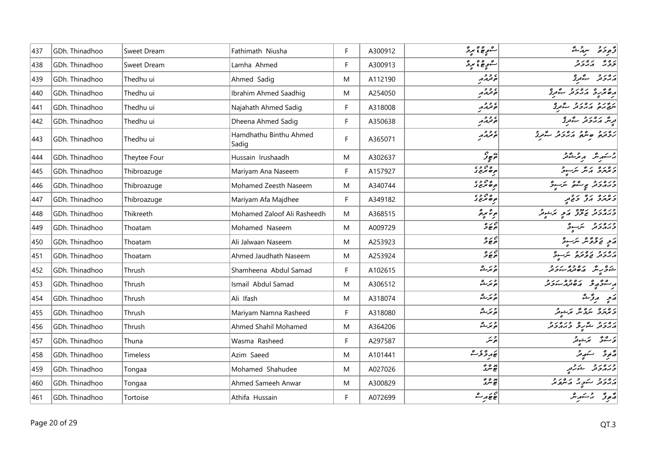| 437 | GDh. Thinadhoo | Sweet Dream     | Fathimath Niusha                | F. | A300912 | ڪ <sub>مو</sub> ءِ ۽ <sub>مر</sub> و | أَرْجُودَةً سِيدَّتَّ                                                                                                                                                                                                            |
|-----|----------------|-----------------|---------------------------------|----|---------|--------------------------------------|----------------------------------------------------------------------------------------------------------------------------------------------------------------------------------------------------------------------------------|
| 438 | GDh. Thinadhoo | Sweet Dream     | Lamha Ahmed                     | F. | A300913 | و و و و و د و<br>سوچ د مرد           | وه ده دور                                                                                                                                                                                                                        |
| 439 | GDh. Thinadhoo | Thedhu ui       | Ahmed Sadig                     | M  | A112190 | ه و د<br>مومرد د                     | دەر د گەندۇ                                                                                                                                                                                                                      |
| 440 | GDh. Thinadhoo | Thedhu ui       | Ibrahim Ahmed Saadhig           | M  | A254050 | ه و د<br>مومرد د                     | مەم بەر مەدد سەم                                                                                                                                                                                                                 |
| 441 | GDh. Thinadhoo | Thedhu ui       | Najahath Ahmed Sadig            | F. | A318008 | ه و د<br>مومرڅړ                      | ر در د در د د کرده                                                                                                                                                                                                               |
| 442 | GDh. Thinadhoo | Thedhu ui       | Dheena Ahmed Sadig              | F  | A350638 | ه و د<br>مومرد د                     | ورنگر پر دور و سکوری<br>اورنگر پر کرد 5 در سکوری                                                                                                                                                                                 |
| 443 | GDh. Thinadhoo | Thedhu ui       | Hamdhathu Binthu Ahmed<br>Sadig | F  | A365071 | ه و د<br>مومرڅ پر                    | ره روبه مورد ده در محمد و در در استانتهای در در در در در در در در در استانتهای در در در استانتهای در دست به دس<br>در سرد در سرد در سرد در سرد در سرد در در سرد در در در سرد در در استانتهای در دست در دست در دست در دست در دست د |
| 444 | GDh. Thinadhoo | Theytee Four    | Hussain Irushaadh               | M  | A302637 | پی یو ژ                              | ج سکور میں مرکز کے تعلیم ک                                                                                                                                                                                                       |
| 445 | GDh. Thinadhoo | Thibroazuge     | Mariyam Ana Naseem              | F. | A157927 | 5500                                 | במתכ ג'ול ואייב                                                                                                                                                                                                                  |
| 446 | GDh. Thinadhoo | Thibroazuge     | Mohamed Zeesth Naseem           | M  | A340744 | ه ۲ و ۲ و ۲<br>موه مربح <sub>ک</sub> | ورورو برحاة الرسوة                                                                                                                                                                                                               |
| 447 | GDh. Thinadhoo | Thibroazuge     | Mariyam Afa Majdhee             | F  | A349182 | 5500                                 | د وره رو روړ                                                                                                                                                                                                                     |
| 448 | GDh. Thinadhoo | Thikreeth       | Mohamed Zaloof Ali Rasheedh     | M  | A368515 | ە بە ئەيدە<br>ب                      | وره رو روده در برشود.<br>وبردون بروژ در برشود.                                                                                                                                                                                   |
| 449 | GDh. Thinadhoo | Thoatam         | Mohamed Naseem                  | M  | A009729 | ەرە<br>موغ                           | وره رو برخو                                                                                                                                                                                                                      |
| 450 | GDh. Thinadhoo | Thoatam         | Ali Jalwaan Naseem              | M  | A253923 | ەرە<br>موغ                           | أرجم فأقراقهما الكرسور                                                                                                                                                                                                           |
| 451 | GDh. Thinadhoo | Thoatam         | Ahmed Jaudhath Naseem           | M  | A253924 | ج ره<br>ح                            | رور و رور و برسو                                                                                                                                                                                                                 |
| 452 | GDh. Thinadhoo | <b>Thrush</b>   | Shamheena Abdul Samad           | F  | A102615 | ەكرىشە                               | ر ده ر بر ده ده ۱۰ در د<br>شور بر در ده ترو سووتر                                                                                                                                                                                |
| 453 | GDh. Thinadhoo | <b>Thrush</b>   | Ismail Abdul Samad              | M  | A306512 | ەمەرشە                               | ם הם הם בם הגב                                                                                                                                                                                                                   |
| 454 | GDh. Thinadhoo | Thrush          | Ali Ifash                       | M  | A318074 | ەمەرشە                               | أرشم بروشة                                                                                                                                                                                                                       |
| 455 | GDh. Thinadhoo | Thrush          | Mariyam Namna Rasheed           | F  | A318080 | ەئەر                                 | رەرە رەش كرشونر                                                                                                                                                                                                                  |
| 456 | GDh. Thinadhoo | <b>Thrush</b>   | Ahmed Shahil Mohamed            | M  | A364206 | ەمەرشە                               | رەر ئەشرى دىرەرد                                                                                                                                                                                                                 |
| 457 | GDh. Thinadhoo | Thuna           | Wasma Rasheed                   | F. | A297587 | ەتەر                                 | ۇڭرۇ ئەيدۇر                                                                                                                                                                                                                      |
| 458 | GDh. Thinadhoo | <b>Timeless</b> | Azim Saeed                      | M  | A101441 | عەر دې ئە                            | ړې ده سکوپه ش                                                                                                                                                                                                                    |
| 459 | GDh. Thinadhoo | Tongaa          | Mohamed Shahudee                | M  | A027026 | ير ه مر<br>ھ″ر گ                     | ورەرو شەور                                                                                                                                                                                                                       |
| 460 | GDh. Thinadhoo | Tongaa          | Ahmed Sameeh Anwar              | M  | A300829 | بر ه و.<br>ح                         | גפנק גובה היינור                                                                                                                                                                                                                 |
| 461 | GDh. Thinadhoo | Tortoise        | Athifa Hussain                  | F. | A072699 | ە <u>ئ</u> ەربە                      | لقبوقر بمستهر مثن                                                                                                                                                                                                                |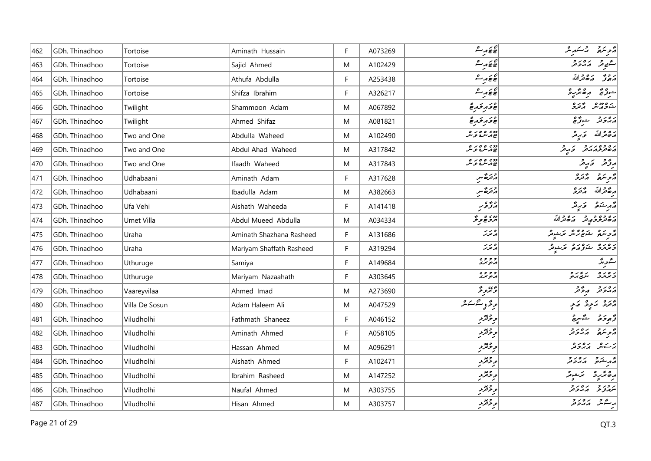| 462 | GDh. Thinadhoo | Tortoise       | Aminath Hussain          | F  | A073269 | ەر بە<br> قۇم                          | ىر سەمەبىر<br>أثمر سرد                          |
|-----|----------------|----------------|--------------------------|----|---------|----------------------------------------|-------------------------------------------------|
| 463 | GDh. Thinadhoo | Tortoise       | Sajid Ahmed              | M  | A102429 | ع ءَ مر ٿ                              | شمع قريدة مستحدة                                |
| 464 | GDh. Thinadhoo | Tortoise       | Athufa Abdulla           | F  | A253438 | ەر بە<br> تقىم بە                      | بروء بره قرالله                                 |
| 465 | GDh. Thinadhoo | Tortoise       | Shifza Ibrahim           | F. | A326217 | اء<br> حقح مر <sup>حد</sup>            | ەھ ئرىر ۋ<br>خور <sup>م</sup> ح                 |
| 466 | GDh. Thinadhoo | Twilight       | Shammoon Adam            | M  | A067892 | و د بر ده<br>مور د بر                  | شەھ جەھر<br>پە رە<br>مەنزۈ                      |
| 467 | GDh. Thinadhoo | Twilight       | Ahmed Shifaz             | M  | A081821 | و د بر<br>در کار کار د                 | پروژو<br>سنبوتر حج                              |
| 468 | GDh. Thinadhoo | Two and One    | Abdulla Waheed           | M  | A102490 | دد ، ه ه د ه<br>ج د س و س              | پره ترالله کربر تر                              |
| 469 | GDh. Thinadhoo | Two and One    | Abdul Ahad Waheed        | M  | A317842 | دد ، ه ه ه ر ه<br>ج د س و س            | ره وه د ر و<br>مانه فرخه براند کار و براند      |
| 470 | GDh. Thinadhoo | Two and One    | Ifaadh Waheed            | M  | A317843 | دد ، ه ه د ه<br>ج د سرو تو س           | ەرۋىتى ئەرىتى                                   |
| 471 | GDh. Thinadhoo | Udhabaani      | Aminath Adam             | F  | A317628 | و ر ه<br> پرتر <i>ه</i> ٔ س            | لجمعر سنرو<br>پور ہ<br>مرکزو                    |
| 472 | GDh. Thinadhoo | Udhabaani      | Ibadulla Adam            | M  | A382663 | د د گرگامبر<br>مرکوکھ سر               | مرځقرالله<br>پور ہ<br>مرکز ژ                    |
| 473 | GDh. Thinadhoo | Ufa Vehi       | Aishath Waheeda          | F. | A141418 | اړوژه په                               | وكرمشكم وكرفر                                   |
| 474 | GDh. Thinadhoo | Umet Villa     | Abdul Mueed Abdulla      | M  | A034334 | دوي ه عرقه                             | رەدەد رەشقى 195                                 |
| 475 | GDh. Thinadhoo | Uraha          | Aminath Shazhana Rasheed | F  | A131686 | د برر<br>مربوبر                        | ە ئەسىم ئىسى ئاسى ئاسىم ئىشرىدە                 |
| 476 | GDh. Thinadhoo | Uraha          | Mariyam Shaffath Rasheed | F. | A319294 | د برر<br>مربوبر                        | ر ٥ ر ٥ ر ٥ ر ٥ ر د د<br>و بربرو شور د ه برشوتر |
| 477 | GDh. Thinadhoo | Uthuruge       | Samiya                   | F  | A149684 | د د د د<br>مرح برد                     | ستورش                                           |
| 478 | GDh. Thinadhoo | Uthuruge       | Mariyam Nazaahath        | F  | A303645 | د د د د<br>مرح برد                     | ر ه ر ه<br><del>و</del> بربرو<br>سر پھر ج       |
| 479 | GDh. Thinadhoo | Vaareyvilaa    | Ahmed Imad               | M  | A273690 | و بر<br>  په ټره به تر                 | برور و<br>ەر ئەتر                               |
| 480 | GDh. Thinadhoo | Villa De Sosun | Adam Haleem Ali          | M  | A047529 | ەر ئىي سىم يەنگەر<br>سىمبىي سىم يەنگەر | پرو ټوپو ټو                                     |
| 481 | GDh. Thinadhoo | Viludholhi     | Fathmath Shaneez         | F  | A046152 | وتزقرىر                                | توجوخو متسببي                                   |
| 482 | GDh. Thinadhoo | Viludholhi     | Aminath Ahmed            | F  | A058105 | وتحقرو                                 | أثرم شهر الملاحق                                |
| 483 | GDh. Thinadhoo | Viludholhi     | Hassan Ahmed             | M  | A096291 | وقرقرىر                                | يركسكس مرور و                                   |
| 484 | GDh. Thinadhoo | Viludholhi     | Aishath Ahmed            | F. | A102471 | وتزقرىر                                | مەرشىمى مەردىر                                  |
| 485 | GDh. Thinadhoo | Viludholhi     | Ibrahim Rasheed          | M  | A147252 | وتحقرىر                                | ە ھەترىر ۋ<br>بمرشوقر                           |
| 486 | GDh. Thinadhoo | Viludholhi     | Naufal Ahmed             | M  | A303755 | وتزقرىر                                | ىئەدىمۇ بىر<br>پروژو                            |
| 487 | GDh. Thinadhoo | Viludholhi     | Hisan Ahmed              | M  | A303757 | وتزقرىر                                | بر گەش كەردىر                                   |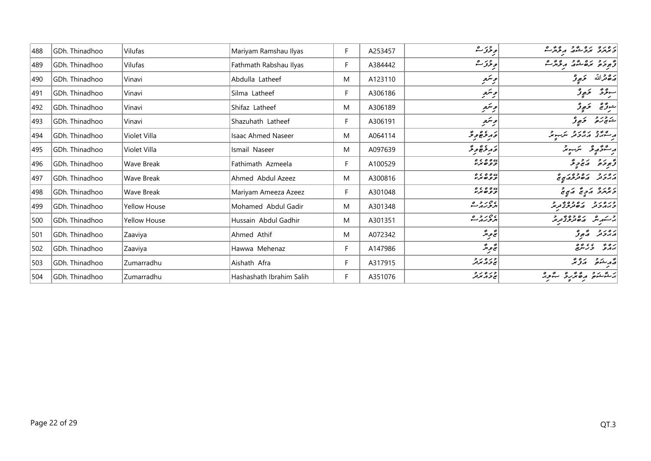| 488 | lGDh. Thinadhoo        | Vilufas             | Mariyam Ramshau Ilyas     | F. | A253457 | رخور م                              | גם גם גם הזר הכתב.                                                                          |
|-----|------------------------|---------------------|---------------------------|----|---------|-------------------------------------|---------------------------------------------------------------------------------------------|
| 489 | IGDh. Thinadhoo        | Vilufas             | Fathmath Rabshau Ilyas    | F. | A384442 | ە بۇ ئۇرگ                           | ه د د ده په د وه و                                                                          |
| 490 | <b>IGDh. Thinadhoo</b> | Vinavi              | Abdulla Latheef           | M  | A123110 | وتنزو                               | برە قراللە<br>ځږوگر                                                                         |
| 491 | IGDh. Thinadhoo        | Vinavi              | Silma Latheef             | F. | A306186 | حرمترجر                             | سودة<br>ځ چو ژ                                                                              |
| 492 | <b>IGDh. Thinadhoo</b> | Vinavi              | Shifaz Latheef            | M  | A306189 | حرمترجر                             | شورٌ ج<br>ځ چو ژ                                                                            |
| 493 | IGDh. Thinadhoo        | Vinavi              | Shazuhath Latheef         | F. | A306191 | وسرو                                | شەيرىرە كەيدۇر                                                                              |
| 494 | <b>IGDh. Thinadhoo</b> | Violet Villa        | <b>Isaac Ahmed Naseer</b> | M  | A064114 | ە بەر ئۇھ بۇ                        | ما عامر و برور د استاند بر                                                                  |
| 495 | GDh. Thinadhoo         | Violet Villa        | Ismail Naseer             | M  | A097639 | وَرِدْعْ وِدَّ                      | ە سىقەتمە بى<br>- سرب مر                                                                    |
| 496 | GDh. Thinadhoo         | Wave Break          | Fathimath Azmeela         | F. | A100529 | ۵ و ۵ و ۵<br>  <i>و و ۵ مر</i> م    | $\begin{bmatrix} 2 & 2 & 2 & 2 & 3 \\ 2 & 2 & 2 & 2 & 3 \\ 3 & 4 & 2 & 2 & 3 \end{bmatrix}$ |
| 497 | <b>IGDh. Thinadhoo</b> | <b>Wave Break</b>   | Ahmed Abdul Azeez         | M  | A300816 | $0 < 0$ $0 < \epsilon$<br>قوقوحاتها | بروبرو<br>$0 - 1000$<br>ور حافز فرور ہے ہے                                                  |
| 498 | GDh. Thinadhoo         | <b>Wave Break</b>   | Mariyam Ameeza Azeez      | F. | A301048 | <br>  تونو ت تدرد<br>               | , , , , , , ,<br>כ מינכ נכפי נכיבי                                                          |
| 499 | GDh. Thinadhoo         | <b>Yellow House</b> | Mohamed Abdul Gadir       | M  | A301348 | <i>، ہی ر</i> ج ہے<br>مرمز پر پ     | ور ه ر و د ر ه وه بد و<br><i>و بد</i> بر د بر ه تر و تخ تر بر                               |
| 500 | GDh. Thinadhoo         | <b>Yellow House</b> | Hussain Abdul Gadhir      | M  | A301351 | ، <i>? بر د</i> مه                  | و در مره ده وه پور د<br>بر شهر شر مره ترمونومر                                              |
| 501 | IGDh. Thinadhoo        | Zaaviya             | Ahmed Athif               | M  | A072342 | پھ حر مگر                           | بروز قر<br>ەر جو تر                                                                         |
| 502 | IGDh. Thinadhoo        | Zaaviya             | Hawwa Mehenaz             | F. | A147986 | . .<br>  یخ حر مر                   | ر ه پ<br>بر د تو<br>0 4 66<br>ورسريم                                                        |
| 503 | <b>IGDh. Thinadhoo</b> | Zumarradhu          | Aishath Afra              | F  | A317915 | و ره ر و<br>مح <i>و ډ</i> ټرنر      | ړه شوه پرونو                                                                                |
| 504 | GDh. Thinadhoo         | Zumarradhu          | Hashashath Ibrahim Salih  | F. | A351076 | و ر ه ر و<br>مح تر مر مر            | برششوه مەھرىق بەدە                                                                          |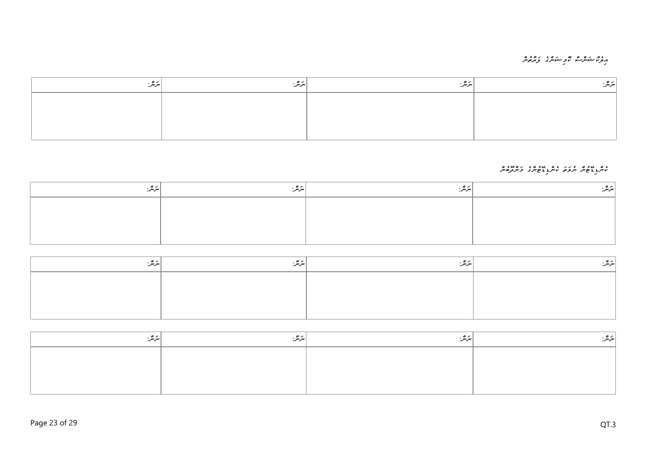## *w7qAn8m? sCw7mRo>u; wEw7mRw;sBo<*

| ' مرمر | 'يئرىثر: |
|--------|----------|
|        |          |
|        |          |
|        |          |

## *w7q9r@w7m> sCw7qHtFoFw7s; mAm=q7 w7qHtFoFw7s;*

| ىر تە | $\mathcal{O} \times$<br>$\sim$ | $\sim$<br>. . | لترنثر |
|-------|--------------------------------|---------------|--------|
|       |                                |               |        |
|       |                                |               |        |
|       |                                |               |        |

| انترنثر: | $^{\circ}$ | يبرهر | $^{\circ}$<br>سرسر |
|----------|------------|-------|--------------------|
|          |            |       |                    |
|          |            |       |                    |
|          |            |       |                    |

| ىرتىر: | 。<br>سر سر | .,<br>مرسر |
|--------|------------|------------|
|        |            |            |
|        |            |            |
|        |            |            |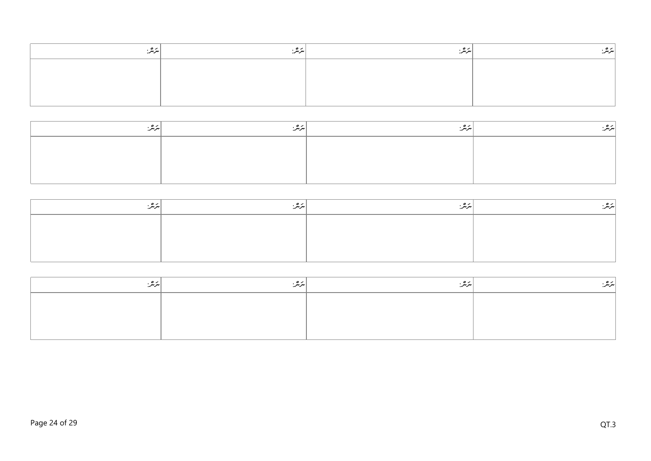| يره. | ο. | ا ير ه |  |
|------|----|--------|--|
|      |    |        |  |
|      |    |        |  |
|      |    |        |  |

| <sup>.</sup> سرسر. |  |
|--------------------|--|
|                    |  |
|                    |  |
|                    |  |

| ىئرىتر. | $\sim$ | ا بر هه. | لىرىش |
|---------|--------|----------|-------|
|         |        |          |       |
|         |        |          |       |
|         |        |          |       |

| 。<br>مرس. | $\overline{\phantom{a}}$<br>مر مىر | يتريثر |
|-----------|------------------------------------|--------|
|           |                                    |        |
|           |                                    |        |
|           |                                    |        |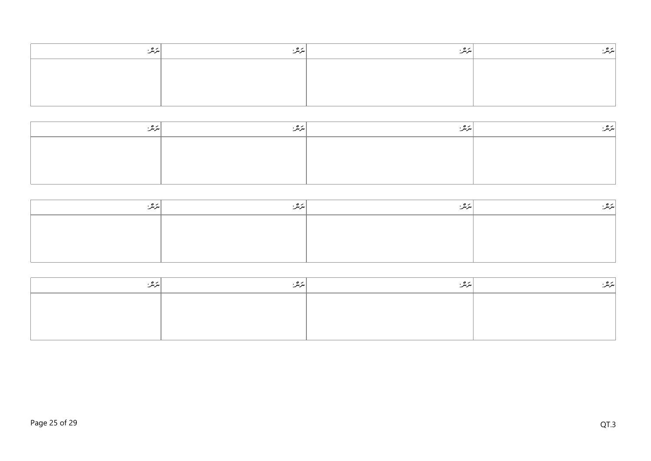| ير هو . | $\overline{\phantom{a}}$ | يرمر | اير هنه. |
|---------|--------------------------|------|----------|
|         |                          |      |          |
|         |                          |      |          |
|         |                          |      |          |

| ىر تىر: | $\circ$ $\sim$<br>" سرسر . | يترمير | o . |
|---------|----------------------------|--------|-----|
|         |                            |        |     |
|         |                            |        |     |
|         |                            |        |     |

| انترنثر: | ر ه |  |
|----------|-----|--|
|          |     |  |
|          |     |  |
|          |     |  |

|  | . ه |
|--|-----|
|  |     |
|  |     |
|  |     |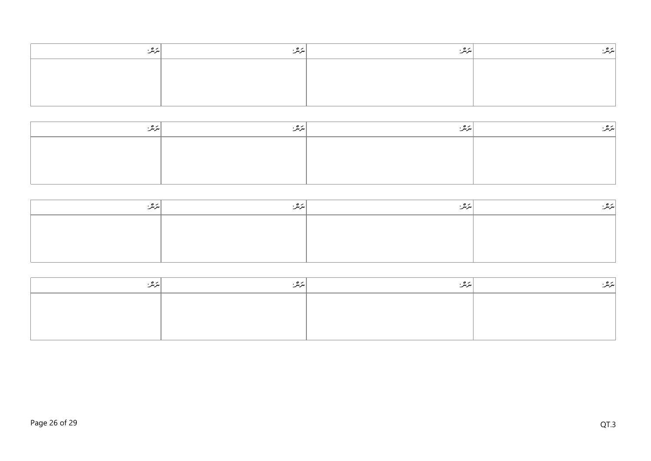| ير هو . | $\overline{\phantom{a}}$ | يرمر | اير هنه. |
|---------|--------------------------|------|----------|
|         |                          |      |          |
|         |                          |      |          |
|         |                          |      |          |

| ىر تىر: | $\circ$ $\sim$<br>" سرسر . | يترمير | o . |
|---------|----------------------------|--------|-----|
|         |                            |        |     |
|         |                            |        |     |
|         |                            |        |     |

| 'تترنثر: | 。<br>,,,, |  |
|----------|-----------|--|
|          |           |  |
|          |           |  |
|          |           |  |

|  | . ه |
|--|-----|
|  |     |
|  |     |
|  |     |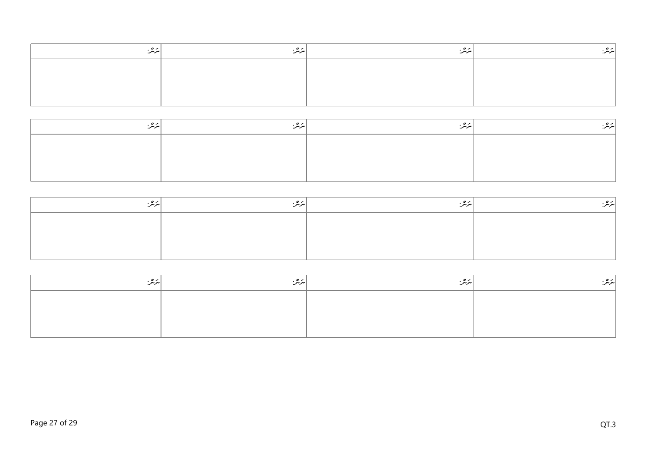| $\cdot$ | ο. | $\frac{\circ}{\cdot}$ | $\sim$<br>سرسر |
|---------|----|-----------------------|----------------|
|         |    |                       |                |
|         |    |                       |                |
|         |    |                       |                |

| ايرعر: | ر ه<br>. . |  |
|--------|------------|--|
|        |            |  |
|        |            |  |
|        |            |  |

| بر ه | 。 | $\overline{\phantom{0}}$<br>َ سومس. |  |
|------|---|-------------------------------------|--|
|      |   |                                     |  |
|      |   |                                     |  |
|      |   |                                     |  |

| 。<br>. س | ىرىىر |  |
|----------|-------|--|
|          |       |  |
|          |       |  |
|          |       |  |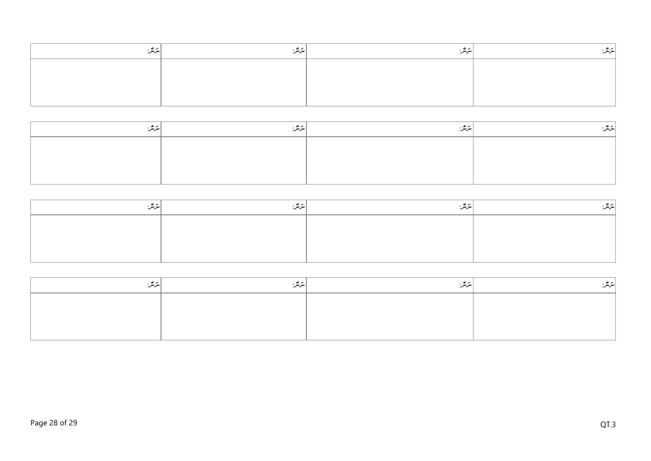| ير هو . | $\overline{\phantom{a}}$ | يرمر | لتزمثن |
|---------|--------------------------|------|--------|
|         |                          |      |        |
|         |                          |      |        |
|         |                          |      |        |

| ىر تىر: | $\circ$ $\sim$<br>" سرسر . | يترمير | o . |
|---------|----------------------------|--------|-----|
|         |                            |        |     |
|         |                            |        |     |
|         |                            |        |     |

| 'تترنثر: | 。<br>,,,, |  |
|----------|-----------|--|
|          |           |  |
|          |           |  |
|          |           |  |

|  | . ه |
|--|-----|
|  |     |
|  |     |
|  |     |